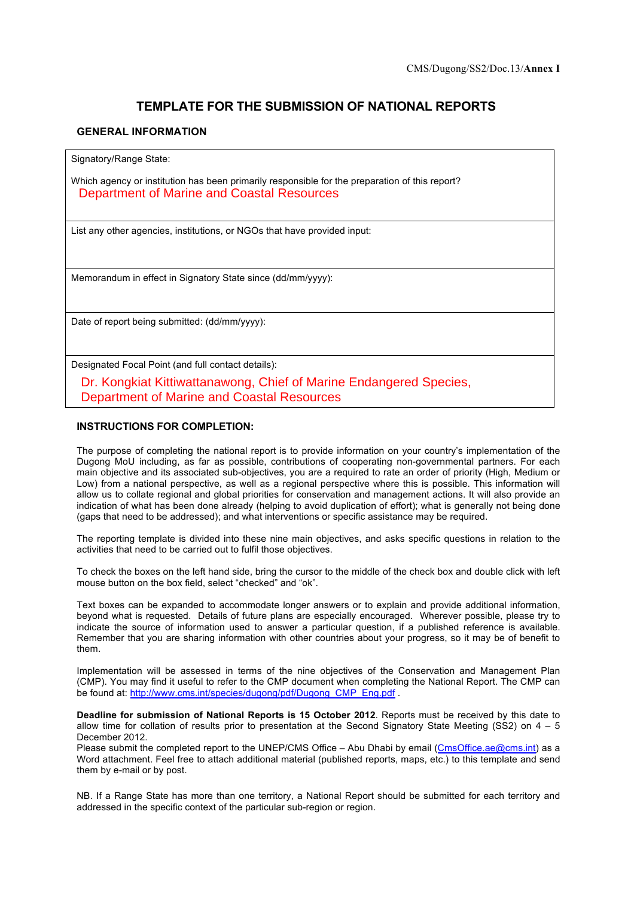# **TEMPLATE FOR THE SUBMISSION OF NATIONAL REPORTS**

### **GENERAL INFORMATION**

Signatory/Range State:

Which agency or institution has been primarily responsible for the preparation of this report? Department of Marine and Coastal Resources

List any other agencies, institutions, or NGOs that have provided input:

Memorandum in effect in Signatory State since (dd/mm/yyyy):

Date of report being submitted: (dd/mm/yyyy):

Designated Focal Point (and full contact details):

Dr. Kongkiat Kittiwattanawong, Chief of Marine Endangered Species, Department of Marine and Coastal Resources

### **INSTRUCTIONS FOR COMPLETION:**

The purpose of completing the national report is to provide information on your country's implementation of the Dugong MoU including, as far as possible, contributions of cooperating non-governmental partners. For each main objective and its associated sub-objectives, you are a required to rate an order of priority (High, Medium or Low) from a national perspective, as well as a regional perspective where this is possible. This information will allow us to collate regional and global priorities for conservation and management actions. It will also provide an indication of what has been done already (helping to avoid duplication of effort); what is generally not being done (gaps that need to be addressed); and what interventions or specific assistance may be required.

The reporting template is divided into these nine main objectives, and asks specific questions in relation to the activities that need to be carried out to fulfil those objectives.

To check the boxes on the left hand side, bring the cursor to the middle of the check box and double click with left mouse button on the box field, select "checked" and "ok".

Text boxes can be expanded to accommodate longer answers or to explain and provide additional information, beyond what is requested. Details of future plans are especially encouraged. Wherever possible, please try to indicate the source of information used to answer a particular question, if a published reference is available. Remember that you are sharing information with other countries about your progress, so it may be of benefit to them.

Implementation will be assessed in terms of the nine objectives of the Conservation and Management Plan (CMP). You may find it useful to refer to the CMP document when completing the National Report. The CMP can be found at: http://www.cms.int/species/dugong/pdf/Dugong\_CMP\_Eng.pdf .

**Deadline for submission of National Reports is 15 October 2012**. Reports must be received by this date to allow time for collation of results prior to presentation at the Second Signatory State Meeting (SS2) on  $4 - 5$ December 2012.

Please submit the completed report to the UNEP/CMS Office – Abu Dhabi by email (CmsOffice.ae@cms.int) as a Word attachment. Feel free to attach additional material (published reports, maps, etc.) to this template and send them by e-mail or by post.

NB. If a Range State has more than one territory, a National Report should be submitted for each territory and addressed in the specific context of the particular sub-region or region.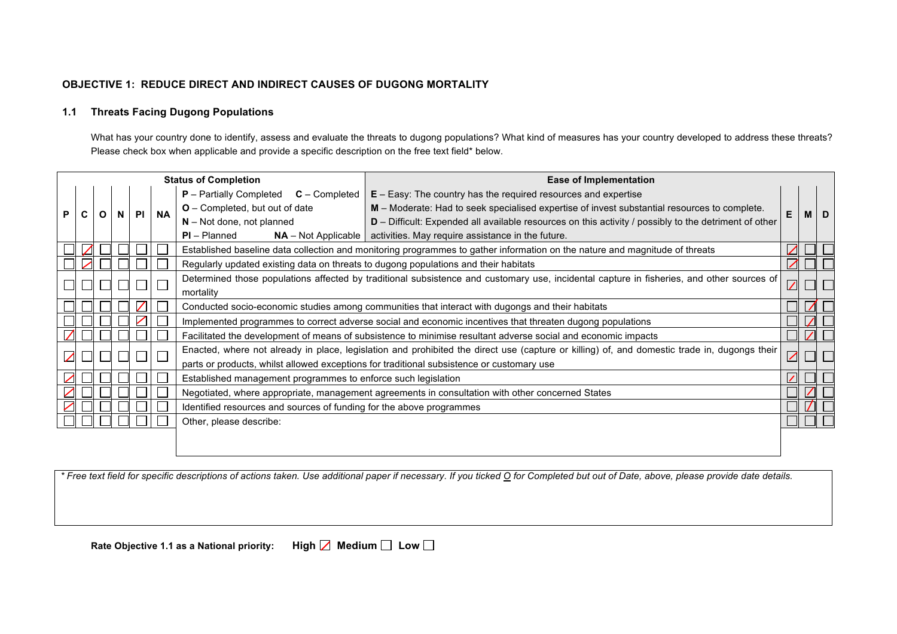### **OBJECTIVE 1: REDUCE DIRECT AND INDIRECT CAUSES OF DUGONG MORTALITY**

# **1.1 Threats Facing Dugong Populations**

What has your country done to identify, assess and evaluate the threats to dugong populations? What kind of measures has your country developed to address these threats? Please check box when applicable and provide a specific description on the free text field\* below.

|   |           |   |              | <b>Status of Completion</b> |           |                                                                                                                             | <b>Ease of Implementation</b>                                                                                                                                        |          |   |  |
|---|-----------|---|--------------|-----------------------------|-----------|-----------------------------------------------------------------------------------------------------------------------------|----------------------------------------------------------------------------------------------------------------------------------------------------------------------|----------|---|--|
|   |           |   |              |                             |           | <b>P</b> – Partially Completed<br>$C$ – Completed                                                                           | $E - Easy$ : The country has the required resources and expertise                                                                                                    |          |   |  |
| P | C         | O | $\mathsf{N}$ | <b>PI</b>                   | <b>NA</b> | O - Completed, but out of date                                                                                              | M – Moderate: Had to seek specialised expertise of invest substantial resources to complete.                                                                         | Е        | M |  |
|   |           |   |              |                             |           | $N - Not$ done, not planned                                                                                                 | D - Difficult: Expended all available resources on this activity / possibly to the detriment of other                                                                |          |   |  |
|   |           |   |              |                             |           | $PI - Planned$                                                                                                              | $NA$ – Not Applicable   activities. May require assistance in the future.                                                                                            |          |   |  |
|   |           |   |              |                             |           | Established baseline data collection and monitoring programmes to gather information on the nature and magnitude of threats |                                                                                                                                                                      |          |   |  |
|   |           |   |              |                             |           | Regularly updated existing data on threats to dugong populations and their habitats                                         |                                                                                                                                                                      |          |   |  |
|   |           |   |              |                             |           |                                                                                                                             | Determined those populations affected by traditional subsistence and customary use, incidental capture in fisheries, and other sources of<br>$\overline{\mathbb{Z}}$ |          |   |  |
|   | mortality |   |              |                             |           |                                                                                                                             |                                                                                                                                                                      |          |   |  |
|   |           |   |              |                             |           | Conducted socio-economic studies among communities that interact with dugongs and their habitats                            |                                                                                                                                                                      |          |   |  |
|   |           |   |              |                             |           | Implemented programmes to correct adverse social and economic incentives that threaten dugong populations                   |                                                                                                                                                                      |          |   |  |
|   |           |   |              |                             |           |                                                                                                                             | Facilitated the development of means of subsistence to minimise resultant adverse social and economic impacts                                                        |          |   |  |
|   |           |   |              |                             |           |                                                                                                                             | Enacted, where not already in place, legislation and prohibited the direct use (capture or killing) of, and domestic trade in, dugongs their                         |          |   |  |
|   |           |   |              |                             |           |                                                                                                                             | parts or products, whilst allowed exceptions for traditional subsistence or customary use                                                                            | $\angle$ |   |  |
|   |           |   |              |                             |           | Established management programmes to enforce such legislation                                                               |                                                                                                                                                                      |          |   |  |
|   |           |   |              |                             |           |                                                                                                                             | Negotiated, where appropriate, management agreements in consultation with other concerned States                                                                     |          |   |  |
|   |           |   |              |                             |           | Identified resources and sources of funding for the above programmes                                                        |                                                                                                                                                                      |          |   |  |
|   |           |   |              |                             |           | Other, please describe:                                                                                                     |                                                                                                                                                                      |          |   |  |
|   |           |   |              |                             |           |                                                                                                                             |                                                                                                                                                                      |          |   |  |
|   |           |   |              |                             |           |                                                                                                                             |                                                                                                                                                                      |          |   |  |

*\* Free text field for specific descriptions of actions taken. Use additional paper if necessary. If you ticked O for Completed but out of Date, above, please provide date details.*

**Rate Objective 1.1 as a National priority: High <b>△ Medium** △ Low △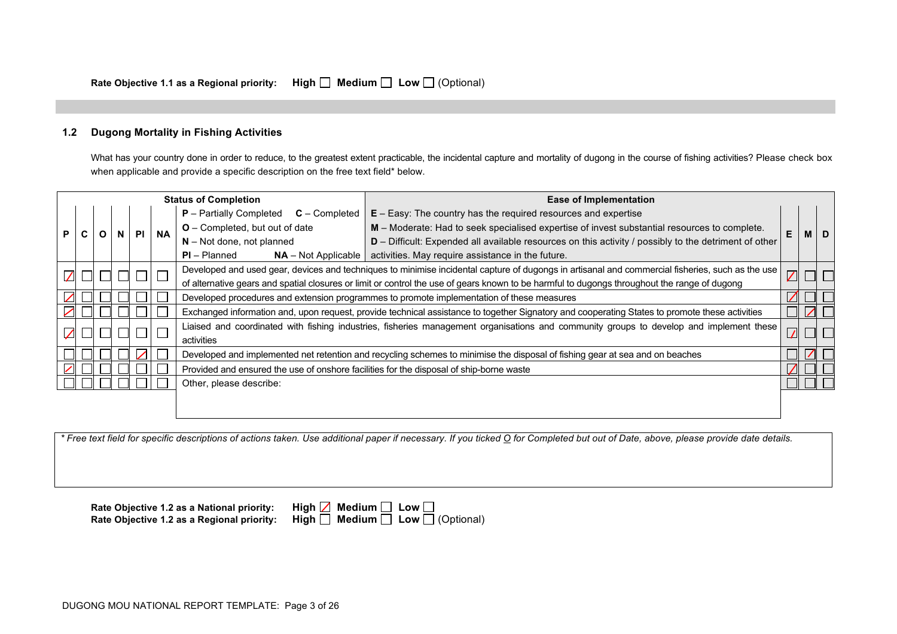### **1.2 Dugong Mortality in Fishing Activities**

What has your country done in order to reduce, to the greatest extent practicable, the incidental capture and mortality of dugong in the course of fishing activities? Please check box when applicable and provide a specific description on the free text field\* below.

|   |                                                                                                                                              | <b>Status of Completion</b> |   |           |           |                                                                                                                                                | <b>Ease of Implementation</b>                                                                                                                    |   |  |            |
|---|----------------------------------------------------------------------------------------------------------------------------------------------|-----------------------------|---|-----------|-----------|------------------------------------------------------------------------------------------------------------------------------------------------|--------------------------------------------------------------------------------------------------------------------------------------------------|---|--|------------|
|   |                                                                                                                                              |                             |   |           |           | $P$ – Partially Completed<br>$C$ – Completed                                                                                                   | $E - Easy$ : The country has the required resources and expertise                                                                                |   |  |            |
| P |                                                                                                                                              |                             | N | <b>PI</b> | <b>NA</b> | O - Completed, but out of date                                                                                                                 | M – Moderate: Had to seek specialised expertise of invest substantial resources to complete.                                                     | E |  | <b>MID</b> |
|   |                                                                                                                                              |                             |   |           |           | $N - Not$ done, not planned                                                                                                                    | $D$ – Difficult: Expended all available resources on this activity / possibly to the detriment of other                                          |   |  |            |
|   |                                                                                                                                              |                             |   |           |           | $PI - Planned$<br>$NA - Not Applicable$                                                                                                        | activities. May require assistance in the future.                                                                                                |   |  |            |
|   |                                                                                                                                              |                             |   |           |           |                                                                                                                                                | Developed and used gear, devices and techniques to minimise incidental capture of dugongs in artisanal and commercial fisheries, such as the use |   |  |            |
|   | of alternative gears and spatial closures or limit or control the use of gears known to be harmful to dugongs throughout the range of dugong |                             |   |           |           |                                                                                                                                                |                                                                                                                                                  |   |  |            |
|   |                                                                                                                                              |                             |   |           |           | Developed procedures and extension programmes to promote implementation of these measures                                                      |                                                                                                                                                  |   |  |            |
|   |                                                                                                                                              |                             |   |           |           | Exchanged information and, upon request, provide technical assistance to together Signatory and cooperating States to promote these activities |                                                                                                                                                  |   |  |            |
|   |                                                                                                                                              |                             |   |           |           |                                                                                                                                                | Liaised and coordinated with fishing industries, fisheries management organisations and community groups to develop and implement these          |   |  |            |
|   |                                                                                                                                              |                             |   |           |           | activities                                                                                                                                     |                                                                                                                                                  |   |  |            |
|   |                                                                                                                                              |                             |   |           |           |                                                                                                                                                | Developed and implemented net retention and recycling schemes to minimise the disposal of fishing gear at sea and on beaches                     |   |  |            |
|   |                                                                                                                                              |                             |   |           |           | Provided and ensured the use of onshore facilities for the disposal of ship-borne waste                                                        |                                                                                                                                                  |   |  |            |
|   |                                                                                                                                              |                             |   |           |           | Other, please describe:                                                                                                                        |                                                                                                                                                  |   |  |            |
|   |                                                                                                                                              |                             |   |           |           |                                                                                                                                                |                                                                                                                                                  |   |  |            |
|   |                                                                                                                                              |                             |   |           |           |                                                                                                                                                |                                                                                                                                                  |   |  |            |

*\* Free text field for specific descriptions of actions taken. Use additional paper if necessary. If you ticked O for Completed but out of Date, above, please provide date details.*

**Rate Objective 1.2 as a National priority: High <b>Z** Medium **D** Low **D**<br>Rate Objective 1.2 as a Regional priority: High **D** Medium **D** Low D

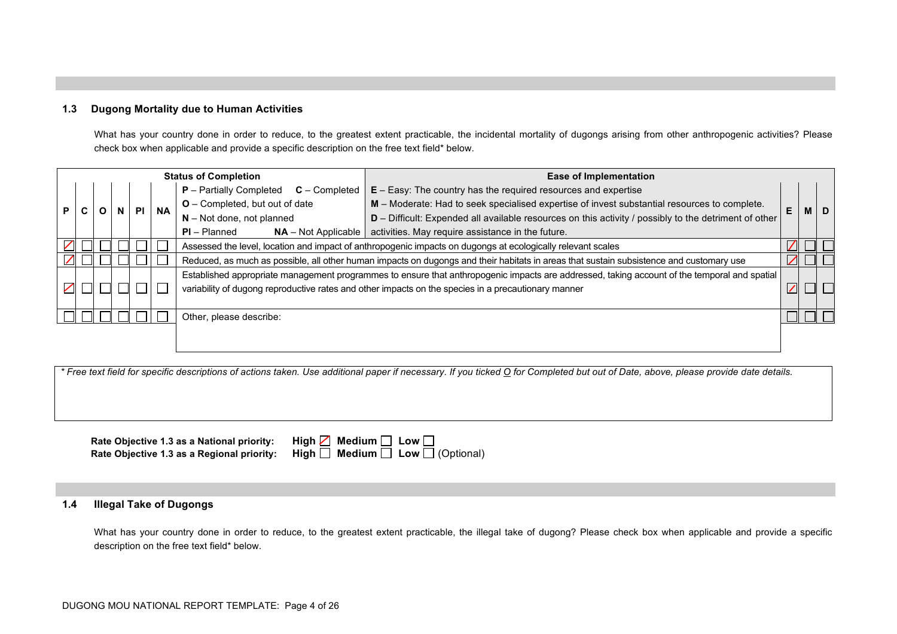### **1.3 Dugong Mortality due to Human Activities**

What has your country done in order to reduce, to the greatest extent practicable, the incidental mortality of dugongs arising from other anthropogenic activities? Please check box when applicable and provide a specific description on the free text field\* below.

|    | <b>Status of Completion</b> |  |   |  |                        | <b>Ease of Implementation</b>                                                                                                           |                                                                                                                                              |   |  |            |
|----|-----------------------------|--|---|--|------------------------|-----------------------------------------------------------------------------------------------------------------------------------------|----------------------------------------------------------------------------------------------------------------------------------------------|---|--|------------|
|    |                             |  |   |  |                        | <b>P</b> – Partially Completed<br>$C$ – Completed                                                                                       | $E - Easy$ : The country has the required resources and expertise                                                                            |   |  |            |
| P. |                             |  | N |  | <b>NA</b><br><b>PI</b> | <b>O</b> – Completed, but out of date                                                                                                   | M - Moderate: Had to seek specialised expertise of invest substantial resources to complete.                                                 | E |  | <b>MID</b> |
|    |                             |  |   |  |                        | $N - Not$ done, not planned                                                                                                             | $D$ – Difficult: Expended all available resources on this activity / possibly to the detriment of other                                      |   |  |            |
|    |                             |  |   |  |                        | $PI - Planned$<br>$NA - Not Applicable$                                                                                                 | activities. May require assistance in the future.                                                                                            |   |  |            |
|    |                             |  |   |  |                        |                                                                                                                                         | Assessed the level, location and impact of anthropogenic impacts on dugongs at ecologically relevant scales                                  |   |  |            |
|    |                             |  |   |  |                        | Reduced, as much as possible, all other human impacts on dugongs and their habitats in areas that sustain subsistence and customary use |                                                                                                                                              |   |  |            |
|    |                             |  |   |  |                        |                                                                                                                                         | Established appropriate management programmes to ensure that anthropogenic impacts are addressed, taking account of the temporal and spatial |   |  |            |
|    |                             |  |   |  |                        |                                                                                                                                         | variability of dugong reproductive rates and other impacts on the species in a precautionary manner                                          |   |  |            |
|    |                             |  |   |  |                        |                                                                                                                                         |                                                                                                                                              |   |  |            |
|    |                             |  |   |  |                        | Other, please describe:                                                                                                                 |                                                                                                                                              |   |  |            |
|    |                             |  |   |  |                        |                                                                                                                                         |                                                                                                                                              |   |  |            |
|    |                             |  |   |  |                        |                                                                                                                                         |                                                                                                                                              |   |  |            |

*\* Free text field for specific descriptions of actions taken. Use additional paper if necessary. If you ticked O for Completed but out of Date, above, please provide date details.*

**Rate Objective 1.3 as a National priority:** High **Rate Objective 1.3 as a Regional priority:** High  $\Box$  Medium  $\Box$  Low  $\Box$  (Optional)

|  | gh $\boxtimes$ Medium $\Box$ Low $\Box$                                          |  |  |
|--|----------------------------------------------------------------------------------|--|--|
|  | $\mathsf{gh} \ \Box \ \ \mathsf{Median} \ \Box \ \ \mathsf{Low} \ \Box$ (Optiona |  |  |

### **1.4 Illegal Take of Dugongs**

What has your country done in order to reduce, to the greatest extent practicable, the illegal take of dugong? Please check box when applicable and provide a specific description on the free text field\* below.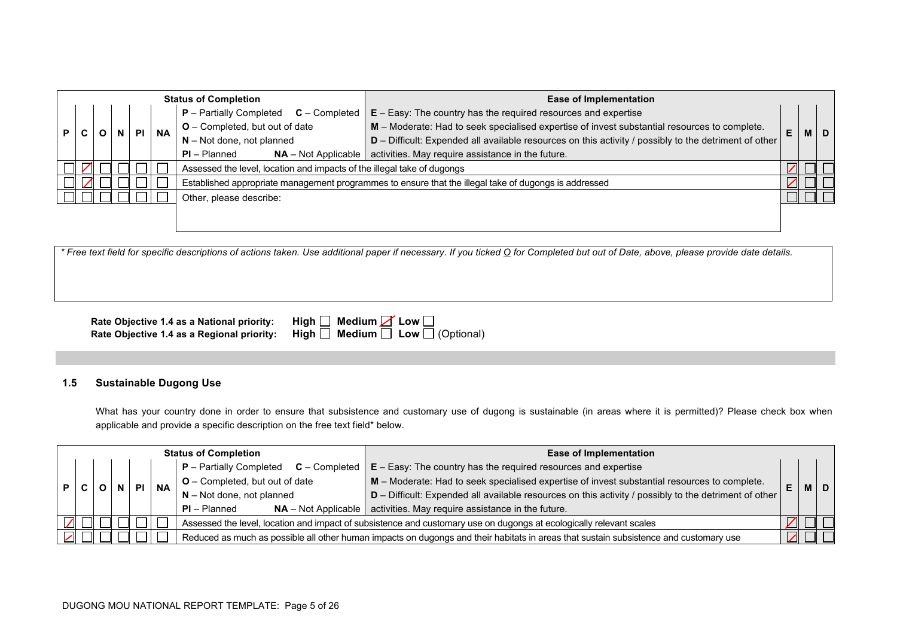|  | <b>Status of Completion</b>                  |  |  | <b>Ease of Implementation</b>                                     |                             |                                                                                                         |                                                                                                       |                                       |                                                                                              |    |  |           |
|--|----------------------------------------------|--|--|-------------------------------------------------------------------|-----------------------------|---------------------------------------------------------------------------------------------------------|-------------------------------------------------------------------------------------------------------|---------------------------------------|----------------------------------------------------------------------------------------------|----|--|-----------|
|  | $P -$ Partially Completed<br>$C$ – Completed |  |  | $E - Easy$ : The country has the required resources and expertise |                             |                                                                                                         |                                                                                                       |                                       |                                                                                              |    |  |           |
|  | <b>P</b><br><b>PI</b>                        |  |  | <b>NA</b>                                                         |                             |                                                                                                         |                                                                                                       | <b>O</b> – Completed, but out of date | M - Moderate: Had to seek specialised expertise of invest substantial resources to complete. | E. |  | <b>MD</b> |
|  |                                              |  |  |                                                                   | $N - Not$ done, not planned | $D$ – Difficult: Expended all available resources on this activity / possibly to the detriment of other |                                                                                                       |                                       |                                                                                              |    |  |           |
|  |                                              |  |  |                                                                   |                             | $PI - Planned$<br>$NA - Not Applicable$                                                                 | activities. May require assistance in the future.                                                     |                                       |                                                                                              |    |  |           |
|  |                                              |  |  |                                                                   |                             | Assessed the level, location and impacts of the illegal take of dugongs                                 |                                                                                                       |                                       |                                                                                              |    |  |           |
|  |                                              |  |  |                                                                   |                             |                                                                                                         | Established appropriate management programmes to ensure that the illegal take of dugongs is addressed |                                       |                                                                                              |    |  |           |
|  | Other, please describe:                      |  |  |                                                                   |                             |                                                                                                         |                                                                                                       |                                       |                                                                                              |    |  |           |
|  |                                              |  |  |                                                                   |                             |                                                                                                         |                                                                                                       |                                       |                                                                                              |    |  |           |

| Rate Objective 1.4 as a National priority:                               | High $\Box$ Medium $\Box$ Low |
|--------------------------------------------------------------------------|-------------------------------|
| Rate Objective 1.4 as a Regional priority: High $\Box$ Medium $\Box$ Low |                               |

| Rate Objective 1.4 as a National priority:   High $\Box$ Medium $\cancel{\diagup}$ Low $\Box$ |                                                                                              |
|-----------------------------------------------------------------------------------------------|----------------------------------------------------------------------------------------------|
|                                                                                               | Rate Objective 1.4 as a Regional priority:   High $\Box$ Medium $\Box$ Low $\Box$ (Optional) |

### **1.5 Sustainable Dugong Use**

What has your country done in order to ensure that subsistence and customary use of dugong is sustainable (in areas where it is permitted)? Please check box when applicable and provide a specific description on the free text field\* below.

|  | <b>Status of Completion</b> |                                           |                                                                   | <b>Ease of Implementation</b> |           |                                                                                                                                       |                                                                                                       |    |            |
|--|-----------------------------|-------------------------------------------|-------------------------------------------------------------------|-------------------------------|-----------|---------------------------------------------------------------------------------------------------------------------------------------|-------------------------------------------------------------------------------------------------------|----|------------|
|  |                             | $P$ – Partially Completed $C$ – Completed | $E - Easy$ : The country has the required resources and expertise |                               |           |                                                                                                                                       |                                                                                                       |    |            |
|  |                             |                                           |                                                                   | PI I                          | <b>NA</b> | $O$ – Completed, but out of date                                                                                                      | M - Moderate: Had to seek specialised expertise of invest substantial resources to complete.          | E. | <b>MID</b> |
|  |                             |                                           |                                                                   |                               |           | $N - Not$ done, not planned                                                                                                           | D - Difficult: Expended all available resources on this activity / possibly to the detriment of other |    |            |
|  |                             |                                           |                                                                   |                               |           | $PI - Planned$                                                                                                                        | $NA$ – Not Applicable   activities. May require assistance in the future.                             |    |            |
|  |                             |                                           |                                                                   |                               |           | Assessed the level, location and impact of subsistence and customary use on dugongs at ecologically relevant scales                   |                                                                                                       |    |            |
|  |                             |                                           |                                                                   |                               |           | Reduced as much as possible all other human impacts on dugongs and their habitats in areas that sustain subsistence and customary use |                                                                                                       |    |            |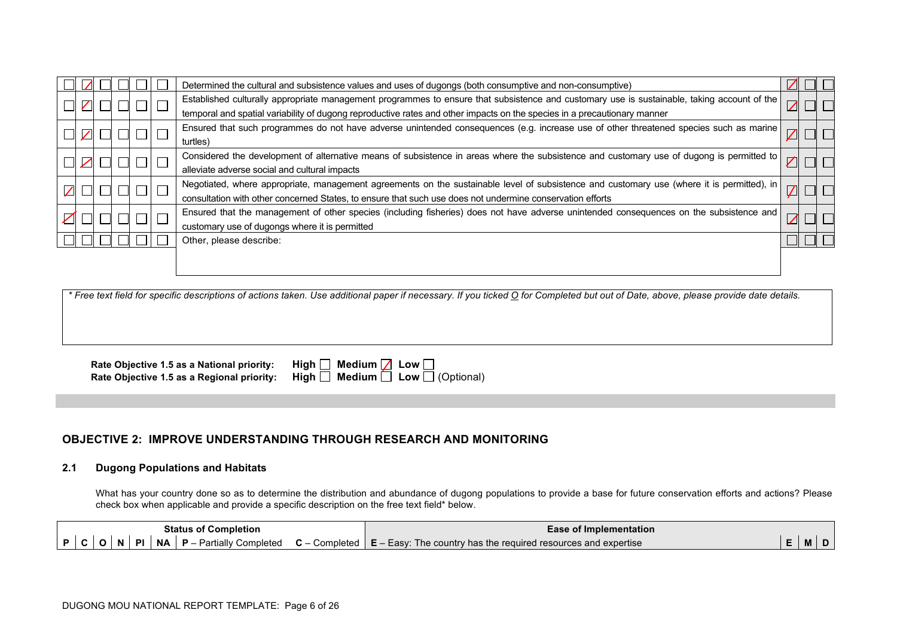|  |  |  | Determined the cultural and subsistence values and uses of dugongs (both consumptive and non-consumptive)                                   |  |  |
|--|--|--|---------------------------------------------------------------------------------------------------------------------------------------------|--|--|
|  |  |  | Established culturally appropriate management programmes to ensure that subsistence and customary use is sustainable, taking account of the |  |  |
|  |  |  | temporal and spatial variability of dugong reproductive rates and other impacts on the species in a precautionary manner                    |  |  |
|  |  |  | Ensured that such programmes do not have adverse unintended consequences (e.g. increase use of other threatened species such as marine      |  |  |
|  |  |  | turtles)                                                                                                                                    |  |  |
|  |  |  | Considered the development of alternative means of subsistence in areas where the subsistence and customary use of dugong is permitted to   |  |  |
|  |  |  | alleviate adverse social and cultural impacts                                                                                               |  |  |
|  |  |  | Negotiated, where appropriate, management agreements on the sustainable level of subsistence and customary use (where it is permitted), in  |  |  |
|  |  |  | consultation with other concerned States, to ensure that such use does not undermine conservation efforts                                   |  |  |
|  |  |  | Ensured that the management of other species (including fisheries) does not have adverse unintended consequences on the subsistence and     |  |  |
|  |  |  | customary use of dugongs where it is permitted                                                                                              |  |  |
|  |  |  | Other, please describe:                                                                                                                     |  |  |
|  |  |  |                                                                                                                                             |  |  |
|  |  |  |                                                                                                                                             |  |  |

| Rate Objective 1.5 as a National priority: | $High$ Medium $\angle$ Low $\Box$                                                          |
|--------------------------------------------|--------------------------------------------------------------------------------------------|
|                                            | Rate Objective 1.5 as a Regional priority: High $\Box$ Medium $\Box$ Low $\Box$ (Optional) |

| $\square$ Medium $\square$ Low $\square$ |                                        |
|------------------------------------------|----------------------------------------|
|                                          | $\Box$ Medium $\Box$ Low $\Box$ (Optio |

# **OBJECTIVE 2: IMPROVE UNDERSTANDING THROUGH RESEARCH AND MONITORING**

### **2.1 Dugong Populations and Habitats**

What has your country done so as to determine the distribution and abundance of dugong populations to provide a base for future conservation efforts and actions? Please check box when applicable and provide a specific description on the free text field\* below.

| <b>Status</b><br>. of C<br>' Completion                                                 | i Implementation<br>≞ase                                                    |     |     |
|-----------------------------------------------------------------------------------------|-----------------------------------------------------------------------------|-----|-----|
| <b>NA</b><br>DI.<br>Partially<br>Completed<br>Completed<br>Ð<br>$\sim$<br>N<br>$\cdots$ | The country has the required resources and expertise<br>$\mathbf{E}$ – Easy | - M | . . |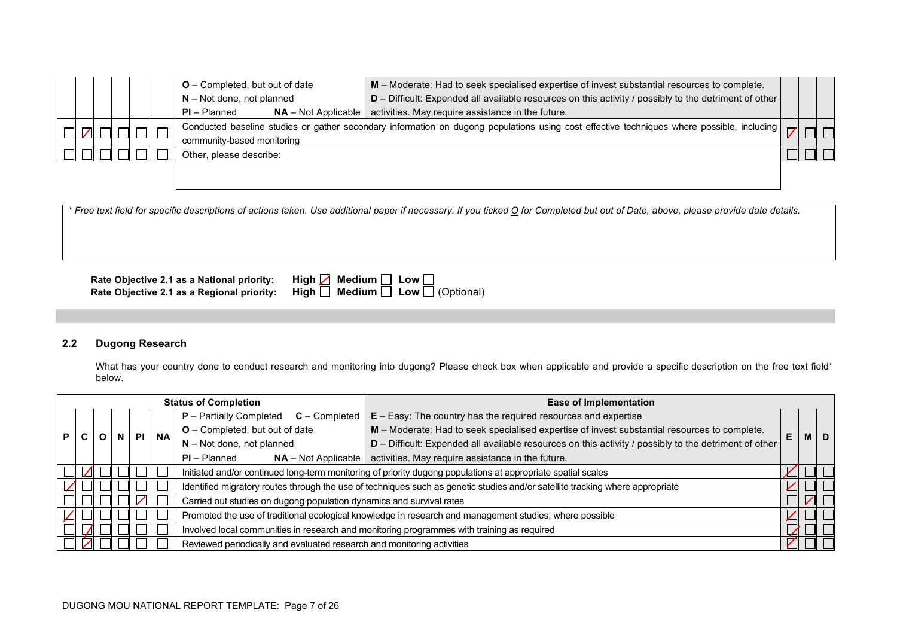|  |  |  | <b>O</b> – Completed, but out of date   | M - Moderate: Had to seek specialised expertise of invest substantial resources to complete.                                               |  |  |
|--|--|--|-----------------------------------------|--------------------------------------------------------------------------------------------------------------------------------------------|--|--|
|  |  |  | $N - Not$ done, not planned             | $D$ – Difficult: Expended all available resources on this activity / possibly to the detriment of other                                    |  |  |
|  |  |  | $PI - Planned$<br>$NA - Not Applicable$ | activities. May require assistance in the future.                                                                                          |  |  |
|  |  |  |                                         | Conducted baseline studies or gather secondary information on dugong populations using cost effective techniques where possible, including |  |  |
|  |  |  | community-based monitoring              |                                                                                                                                            |  |  |
|  |  |  | Other, please describe:                 |                                                                                                                                            |  |  |
|  |  |  |                                         |                                                                                                                                            |  |  |
|  |  |  |                                         |                                                                                                                                            |  |  |

**Rate Objective 2.1 as a National priority:** High Rate Objective 2.1 as a Regional priority: High **Rate Objective 2.1 as a Regional priority: High □ Medium □ Low □ (Optional)** 

| $\boxed{\phantom{0}}$ Medium $\boxed{\phantom{0}}$ Low $\boxed{\phantom{0}}$ |                                      |
|------------------------------------------------------------------------------|--------------------------------------|
|                                                                              | $\Box$ Medium $\Box$ Low $\Box$ (Opt |

# **2.2 Dugong Research**

What has your country done to conduct research and monitoring into dugong? Please check box when applicable and provide a specific description on the free text field\* below.

|   |  |  |           | <b>Status of Completion</b>                                                                                  | <b>Ease of Implementation</b>                                                                                                 |    |  |  |
|---|--|--|-----------|--------------------------------------------------------------------------------------------------------------|-------------------------------------------------------------------------------------------------------------------------------|----|--|--|
|   |  |  |           | <b>P</b> – Partially Completed<br>$C$ – Completed                                                            | $E - Easy$ : The country has the required resources and expertise                                                             |    |  |  |
| P |  |  | <b>NA</b> | <b>O</b> – Completed, but out of date                                                                        | M - Moderate: Had to seek specialised expertise of invest substantial resources to complete.                                  | E. |  |  |
|   |  |  |           | $N - Not$ done, not planned                                                                                  | D - Difficult: Expended all available resources on this activity / possibly to the detriment of other                         |    |  |  |
|   |  |  |           | $PI - Planned$<br>$NA - Not Applicable$                                                                      | activities. May require assistance in the future.                                                                             |    |  |  |
|   |  |  |           | Initiated and/or continued long-term monitoring of priority dugong populations at appropriate spatial scales |                                                                                                                               |    |  |  |
|   |  |  |           |                                                                                                              | Identified migratory routes through the use of techniques such as genetic studies and/or satellite tracking where appropriate |    |  |  |
|   |  |  |           | Carried out studies on dugong population dynamics and survival rates                                         |                                                                                                                               |    |  |  |
|   |  |  |           |                                                                                                              | Promoted the use of traditional ecological knowledge in research and management studies, where possible                       |    |  |  |
|   |  |  |           | Involved local communities in research and monitoring programmes with training as required                   |                                                                                                                               |    |  |  |
|   |  |  |           | Reviewed periodically and evaluated research and monitoring activities                                       |                                                                                                                               |    |  |  |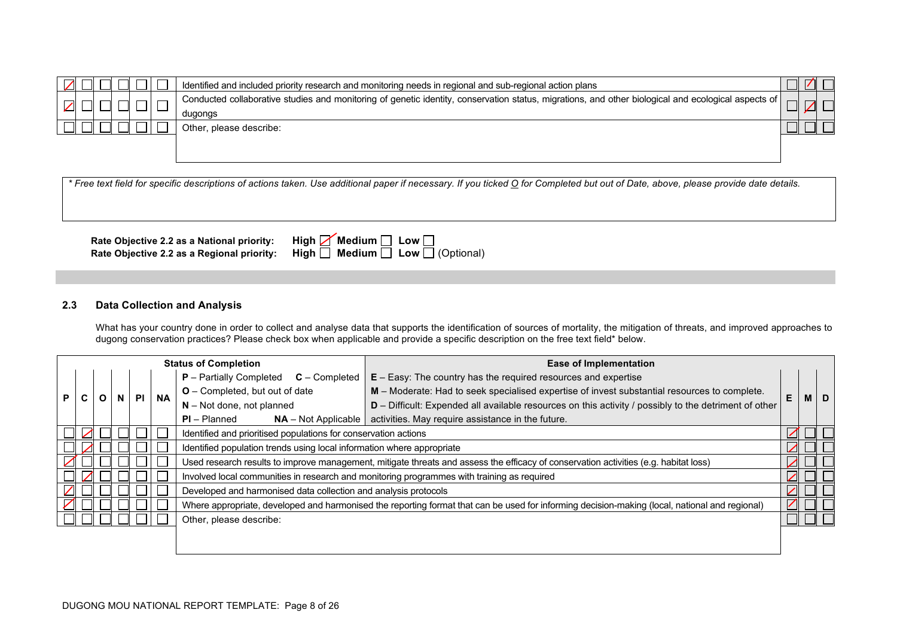|  |  |  | Identified and included priority research and monitoring needs in regional and sub-regional action plans                                                         |  |  |
|--|--|--|------------------------------------------------------------------------------------------------------------------------------------------------------------------|--|--|
|  |  |  | Conducted collaborative studies and monitoring of genetic identity, conservation status, migrations, and other biological and ecological aspects of  <br>dugongs |  |  |
|  |  |  | Other, please describe:                                                                                                                                          |  |  |

**Rate Objective 2.2 as a National priority:** High **Rate Objective 2.2 as a Regional priority: High □ Medium □ Low □ (Optional)** 

| gh $\Box'$ Medium $\Box$ Low $\Box$ |                                                                                         |  |
|-------------------------------------|-----------------------------------------------------------------------------------------|--|
|                                     | $\mathsf{g}\mathsf{h} \ \Box \ \ \mathsf{Median} \ \Box \ \ \mathsf{Low} \ \Box$ (Optio |  |

### **2.3 Data Collection and Analysis**

What has your country done in order to collect and analyse data that supports the identification of sources of mortality, the mitigation of threats, and improved approaches to dugong conservation practices? Please check box when applicable and provide a specific description on the free text field\* below.

|                          |  |  |   |           |           | <b>Status of Completion</b>                                                                                                                    | <b>Ease of Implementation</b>                                                                                                        |   |   |   |
|--------------------------|--|--|---|-----------|-----------|------------------------------------------------------------------------------------------------------------------------------------------------|--------------------------------------------------------------------------------------------------------------------------------------|---|---|---|
|                          |  |  |   |           |           | <b>P</b> – Partially Completed<br>$C$ – Completed                                                                                              | $E - Easy$ : The country has the required resources and expertise                                                                    |   |   |   |
| P.                       |  |  | N | <b>PI</b> | <b>NA</b> | O - Completed, but out of date                                                                                                                 | M - Moderate: Had to seek specialised expertise of invest substantial resources to complete.                                         | E | M | D |
|                          |  |  |   |           |           | $N - Not$ done, not planned                                                                                                                    | D - Difficult: Expended all available resources on this activity / possibly to the detriment of other                                |   |   |   |
|                          |  |  |   |           |           | $PI - Planned$<br>$NA - Not Applicable$                                                                                                        | activities. May require assistance in the future.                                                                                    |   |   |   |
|                          |  |  |   |           |           | Identified and prioritised populations for conservation actions                                                                                |                                                                                                                                      |   |   |   |
|                          |  |  |   |           |           | Identified population trends using local information where appropriate                                                                         |                                                                                                                                      |   |   |   |
|                          |  |  |   |           |           |                                                                                                                                                | Used research results to improve management, mitigate threats and assess the efficacy of conservation activities (e.g. habitat loss) |   |   |   |
|                          |  |  |   |           |           |                                                                                                                                                | Involved local communities in research and monitoring programmes with training as required                                           |   |   |   |
| $\overline{\phantom{a}}$ |  |  |   |           |           | Developed and harmonised data collection and analysis protocols                                                                                |                                                                                                                                      |   |   |   |
|                          |  |  |   |           |           | Where appropriate, developed and harmonised the reporting format that can be used for informing decision-making (local, national and regional) |                                                                                                                                      |   |   |   |
|                          |  |  |   |           |           | Other, please describe:                                                                                                                        |                                                                                                                                      |   |   |   |
|                          |  |  |   |           |           |                                                                                                                                                |                                                                                                                                      |   |   |   |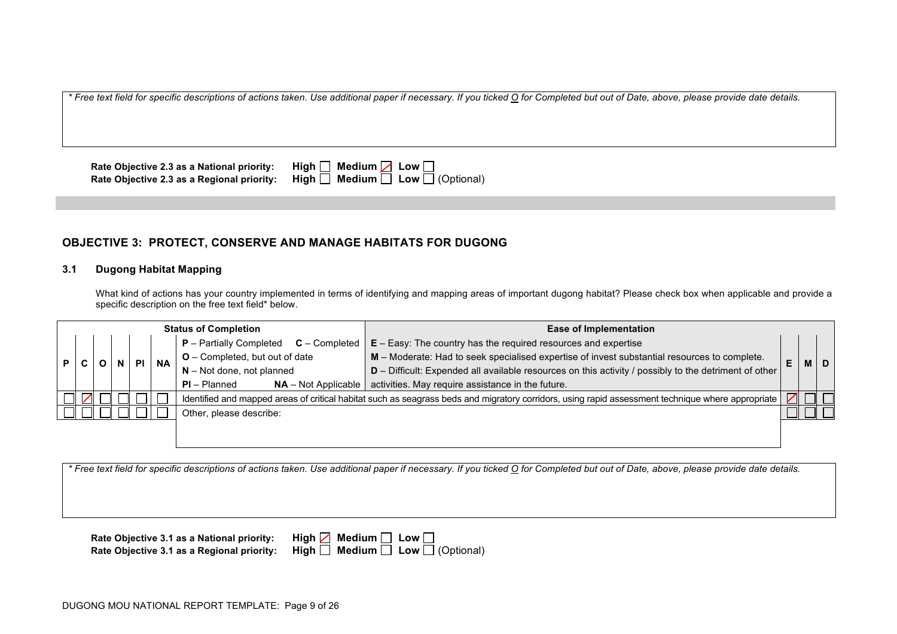**Rate Objective 2.3 as a National priority: High □ Medium <b>Z** Low □ **Rate Objective 2.3 as a Regional priority:** High  $\overline{\Box}$  Medium  $\overline{\Box}$  Low  $\overline{\Box}$  (Optional)

# **OBJECTIVE 3: PROTECT, CONSERVE AND MANAGE HABITATS FOR DUGONG**

### **3.1 Dugong Habitat Mapping**

What kind of actions has your country implemented in terms of identifying and mapping areas of important dugong habitat? Please check box when applicable and provide a specific description on the free text field\* below.

| <b>Status of Completion</b> |  |  |           |           |                                              | <b>Ease of Implementation</b>                                                                                                                     |    |           |  |  |
|-----------------------------|--|--|-----------|-----------|----------------------------------------------|---------------------------------------------------------------------------------------------------------------------------------------------------|----|-----------|--|--|
|                             |  |  |           |           | $P -$ Partially Completed<br>$C -$ Completed | $E - Easy$ : The country has the required resources and expertise                                                                                 |    |           |  |  |
|                             |  |  | <b>PI</b> |           | $O$ – Completed, but out of date             | M - Moderate: Had to seek specialised expertise of invest substantial resources to complete.                                                      | E. | <b>MD</b> |  |  |
|                             |  |  |           | <b>NA</b> | $N - Not$ done, not planned                  | D - Difficult: Expended all available resources on this activity / possibly to the detriment of other                                             |    |           |  |  |
|                             |  |  |           |           | $PI - Planned$<br>$NA - Not Applicable$      | activities. May require assistance in the future.                                                                                                 |    |           |  |  |
|                             |  |  |           |           |                                              | Identified and mapped areas of critical habitat such as seagrass beds and migratory corridors, using rapid assessment technique where appropriate |    |           |  |  |
|                             |  |  |           |           | Other, please describe:                      |                                                                                                                                                   |    |           |  |  |
|                             |  |  |           |           |                                              |                                                                                                                                                   |    |           |  |  |
|                             |  |  |           |           |                                              |                                                                                                                                                   |    |           |  |  |

*\* Free text field for specific descriptions of actions taken. Use additional paper if necessary. If you ticked O for Completed but out of Date, above, please provide date details.*

| Rate Objective 3.1 as a National priority: High $\boxed{\phantom{a}}$ Medium $\boxed{\phantom{a}}$ Low $\boxed{\phantom{a}}$ |                                                                                            |
|------------------------------------------------------------------------------------------------------------------------------|--------------------------------------------------------------------------------------------|
|                                                                                                                              | Rate Objective 3.1 as a Regional priority: High $\Box$ Medium $\Box$ Low $\Box$ (Optional) |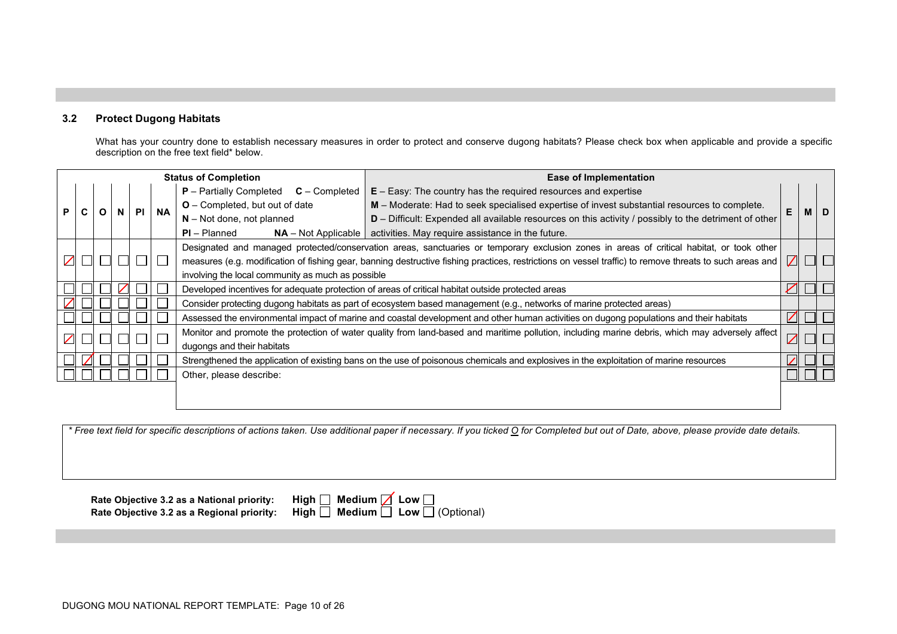# **3.2 Protect Dugong Habitats**

What has your country done to establish necessary measures in order to protect and conserve dugong habitats? Please check box when applicable and provide a specific description on the free text field\* below.

|                     |   |   |    |           |           | <b>Status of Completion</b>                                                                       | Ease of Implementation                                                                                                                                  |            |   |  |
|---------------------|---|---|----|-----------|-----------|---------------------------------------------------------------------------------------------------|---------------------------------------------------------------------------------------------------------------------------------------------------------|------------|---|--|
|                     |   |   |    |           |           | $P$ – Partially Completed $C$ – Completed                                                         | $E - E$ asy: The country has the required resources and expertise                                                                                       |            |   |  |
| P                   | C | O | N. | <b>PI</b> | <b>NA</b> | O - Completed, but out of date                                                                    | M – Moderate: Had to seek specialised expertise of invest substantial resources to complete.                                                            |            | M |  |
|                     |   |   |    |           |           | $N - Not$ done, not planned                                                                       | $D$ – Difficult: Expended all available resources on this activity / possibly to the detriment of other                                                 |            |   |  |
|                     |   |   |    |           |           | $PI - Planned$                                                                                    | $NA$ – Not Applicable   activities. May require assistance in the future.                                                                               |            |   |  |
|                     |   |   |    |           |           |                                                                                                   | Designated and managed protected/conservation areas, sanctuaries or temporary exclusion zones in areas of critical habitat, or took other               |            |   |  |
| $\overline{\angle}$ |   |   |    |           |           |                                                                                                   | measures (e.g. modification of fishing gear, banning destructive fishing practices, restrictions on vessel traffic) to remove threats to such areas and | $\sqrt{ }$ |   |  |
|                     |   |   |    |           |           | involving the local community as much as possible                                                 |                                                                                                                                                         |            |   |  |
|                     |   |   |    |           |           | Developed incentives for adequate protection of areas of critical habitat outside protected areas |                                                                                                                                                         |            |   |  |
|                     |   |   |    |           |           |                                                                                                   | Consider protecting dugong habitats as part of ecosystem based management (e.g., networks of marine protected areas)                                    |            |   |  |
|                     |   |   |    |           |           |                                                                                                   | Assessed the environmental impact of marine and coastal development and other human activities on dugong populations and their habitats                 | $\nabla$   |   |  |
|                     |   |   |    |           |           |                                                                                                   | Monitor and promote the protection of water quality from land-based and maritime pollution, including marine debris, which may adversely affect         |            |   |  |
|                     |   |   |    |           |           | dugongs and their habitats                                                                        |                                                                                                                                                         | $\angle$   |   |  |
|                     |   |   |    |           |           |                                                                                                   | Strengthened the application of existing bans on the use of poisonous chemicals and explosives in the exploitation of marine resources                  |            |   |  |
|                     |   |   |    |           |           | Other, please describe:                                                                           |                                                                                                                                                         |            |   |  |
|                     |   |   |    |           |           |                                                                                                   |                                                                                                                                                         |            |   |  |
|                     |   |   |    |           |           |                                                                                                   |                                                                                                                                                         |            |   |  |

*\* Free text field for specific descriptions of actions taken. Use additional paper if necessary. If you ticked O for Completed but out of Date, above, please provide date details.*

**Rate Objective 3.2 as a National priority:** High Rate Objective 3.2 as a Regional priority: High **Rate Objective 3.2 as a Regional priority: High □ Medium □ Low □ (Optional)** 

|  | $\mathsf{ph}\ \Box\ \mathsf{Median}\ \Box\ \mathsf{Low}\ \Box$ |                                                                           |
|--|----------------------------------------------------------------|---------------------------------------------------------------------------|
|  |                                                                | $\mathsf{ph}\ \Box\ \ \mathsf{Median}\ \Box\ \ \mathsf{Low}\ \Box$ (Optic |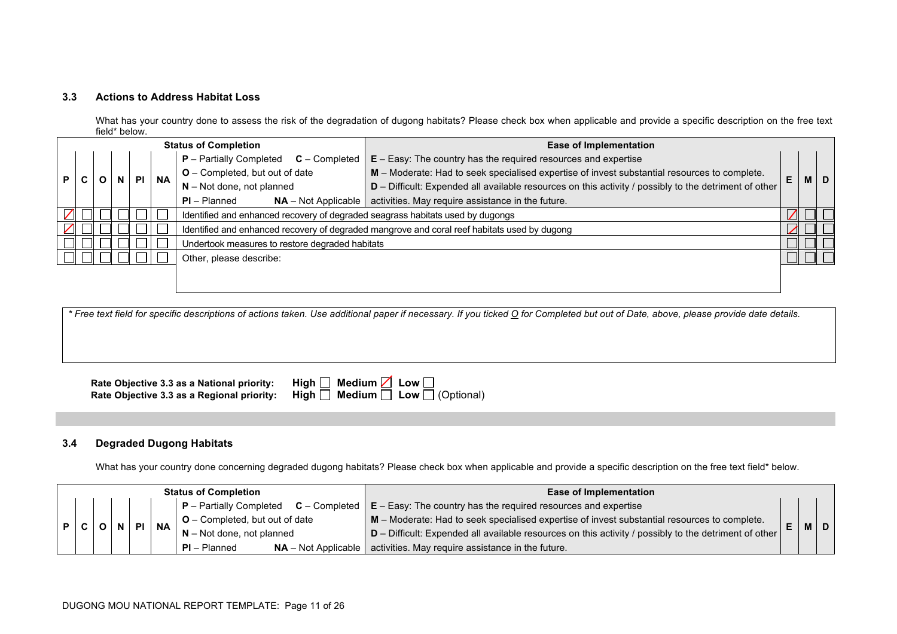### **3.3 Actions to Address Habitat Loss**

What has your country done to assess the risk of the degradation of dugong habitats? Please check box when applicable and provide a specific description on the free text field\* below.

|   |                                                                                |  |           |           | <b>Status of Completion</b>                     | <b>Ease of Implementation</b>                                                                         |    |     |
|---|--------------------------------------------------------------------------------|--|-----------|-----------|-------------------------------------------------|-------------------------------------------------------------------------------------------------------|----|-----|
|   |                                                                                |  |           |           | $P -$ Partially Completed<br>$C$ – Completed    | $E - Easy$ : The country has the required resources and expertise                                     |    |     |
| P |                                                                                |  | <b>PI</b> | <b>NA</b> | $O$ – Completed, but out of date                | M - Moderate: Had to seek specialised expertise of invest substantial resources to complete.          | E. | M D |
|   |                                                                                |  |           |           | $N - Not$ done, not planned                     | D - Difficult: Expended all available resources on this activity / possibly to the detriment of other |    |     |
|   |                                                                                |  |           |           | $PI - Planned$<br>$NA - Not Applicable$         | activities. May require assistance in the future.                                                     |    |     |
|   | Identified and enhanced recovery of degraded seagrass habitats used by dugongs |  |           |           |                                                 |                                                                                                       |    |     |
|   |                                                                                |  |           |           |                                                 | Identified and enhanced recovery of degraded mangrove and coral reef habitats used by dugong          |    |     |
|   |                                                                                |  |           |           | Undertook measures to restore degraded habitats |                                                                                                       |    |     |
|   |                                                                                |  |           |           | Other, please describe:                         |                                                                                                       |    |     |
|   |                                                                                |  |           |           |                                                 |                                                                                                       |    |     |
|   |                                                                                |  |           |           |                                                 |                                                                                                       |    |     |

*\* Free text field for specific descriptions of actions taken. Use additional paper if necessary. If you ticked O for Completed but out of Date, above, please provide date details.*

| Rate Objective 3.3 as a National priority: | High $\Box$ Medium $\Box$ Low $\Box$                                                       |
|--------------------------------------------|--------------------------------------------------------------------------------------------|
|                                            | Rate Objective 3.3 as a Regional priority: High $\Box$ Medium $\Box$ Low $\Box$ (Optional) |

### **3.4 Degraded Dugong Habitats**

What has your country done concerning degraded dugong habitats? Please check box when applicable and provide a specific description on the free text field\* below.

| <b>Status of Completion</b> |  |  |  |  |                                         | <b>Ease of Implementation</b>                                                                                             |   |       |  |
|-----------------------------|--|--|--|--|-----------------------------------------|---------------------------------------------------------------------------------------------------------------------------|---|-------|--|
|                             |  |  |  |  |                                         | $\mid$ P – Partially Completed $\mid$ C – Completed $\mid$ E – Easy: The country has the required resources and expertise |   |       |  |
|                             |  |  |  |  | $\vert$ O – Completed, but out of date  | M - Moderate: Had to seek specialised expertise of invest substantial resources to complete.                              | Æ | M   D |  |
|                             |  |  |  |  | $N - Not$ done, not planned             | $D$ – Difficult: Expended all available resources on this activity / possibly to the detriment of other                   |   |       |  |
|                             |  |  |  |  | $NA - Not Applicable$<br>$PI - Planned$ | activities. May require assistance in the future.                                                                         |   |       |  |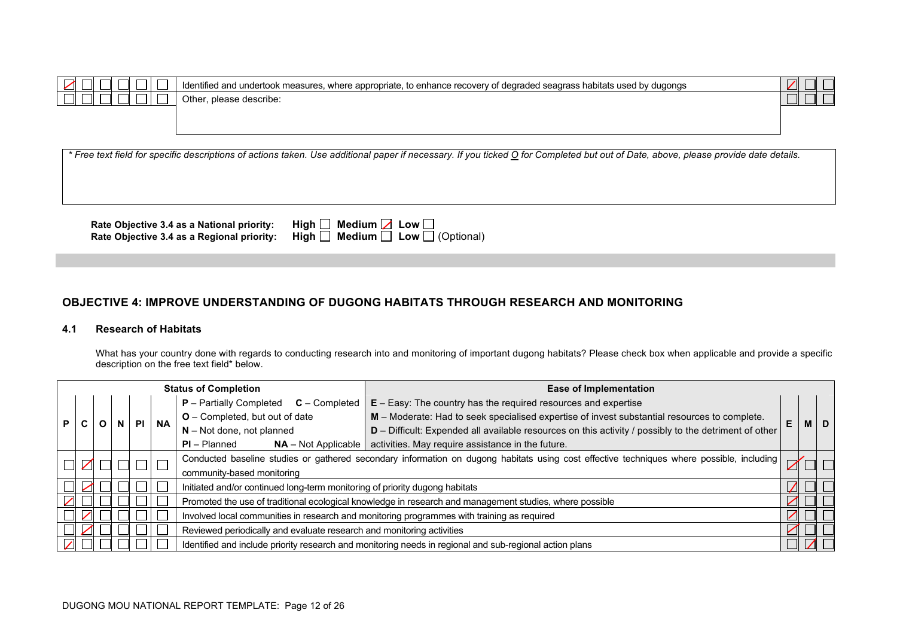| $\sim$ | .annronriate<br>dogradoc<br>itate ucod<br>rec<br>Identi<br>where<br>measu<br>ennance<br>anos<br>augonos<br>הומו<br>ונור ונו:<br>: auu uu lale<br>. | $\mathcal{L}$ |
|--------|----------------------------------------------------------------------------------------------------------------------------------------------------|---------------|
|        | Other<br>describe<br>uicasc                                                                                                                        |               |
|        |                                                                                                                                                    |               |

**Rate Objective 3.4 as a National priority:** High **Rate Objective 3.4 as a Regional priority: High □ Medium □ Low □ (Optional)** 

| $\Box$ Medium $\Box$ Low $\Box$ |  |                                         |
|---------------------------------|--|-----------------------------------------|
|                                 |  | $\Box$ Medium $\Box$ Low $\Box$ (Option |

### **OBJECTIVE 4: IMPROVE UNDERSTANDING OF DUGONG HABITATS THROUGH RESEARCH AND MONITORING**

#### **4.1 Research of Habitats**

What has your country done with regards to conducting research into and monitoring of important dugong habitats? Please check box when applicable and provide a specific description on the free text field\* below.

| <b>Status of Completion</b>                                                                                                               |  |              |           |           |                                                                                            | <b>Ease of Implementation</b>                                                                           |   |           |
|-------------------------------------------------------------------------------------------------------------------------------------------|--|--------------|-----------|-----------|--------------------------------------------------------------------------------------------|---------------------------------------------------------------------------------------------------------|---|-----------|
|                                                                                                                                           |  |              |           |           | <b>P</b> – Partially Completed<br>$C$ – Completed                                          | $E - E$ asy: The country has the required resources and expertise                                       |   |           |
|                                                                                                                                           |  | $\mathsf{N}$ | <b>PI</b> | <b>NA</b> | <b>O</b> – Completed, but out of date                                                      | M - Moderate: Had to seek specialised expertise of invest substantial resources to complete.            | E | <b>MD</b> |
| U                                                                                                                                         |  |              |           |           | $N - Not$ done, not planned                                                                | D - Difficult: Expended all available resources on this activity / possibly to the detriment of other   |   |           |
|                                                                                                                                           |  |              |           |           | $PI - Planned$<br>$NA - Not Applicable$                                                    | activities. May require assistance in the future.                                                       |   |           |
| Conducted baseline studies or gathered secondary information on dugong habitats using cost effective techniques where possible, including |  |              | $\Box$    |           |                                                                                            |                                                                                                         |   |           |
|                                                                                                                                           |  |              |           |           | community-based monitoring                                                                 |                                                                                                         |   |           |
|                                                                                                                                           |  |              |           |           | Initiated and/or continued long-term monitoring of priority dugong habitats                |                                                                                                         |   |           |
|                                                                                                                                           |  |              |           |           |                                                                                            | Promoted the use of traditional ecological knowledge in research and management studies, where possible |   |           |
|                                                                                                                                           |  |              |           |           | Involved local communities in research and monitoring programmes with training as required |                                                                                                         |   |           |
|                                                                                                                                           |  |              |           |           | Reviewed periodically and evaluate research and monitoring activities                      |                                                                                                         |   |           |
|                                                                                                                                           |  |              |           |           |                                                                                            | Identified and include priority research and monitoring needs in regional and sub-regional action plans |   |           |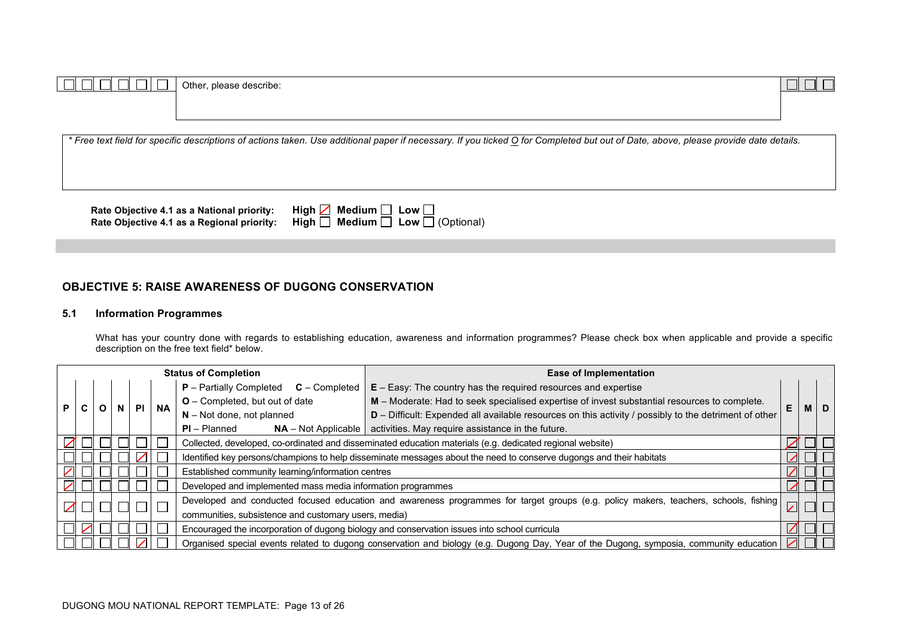| Other, please describe:                                                                                                                                                             |  |
|-------------------------------------------------------------------------------------------------------------------------------------------------------------------------------------|--|
|                                                                                                                                                                                     |  |
|                                                                                                                                                                                     |  |
|                                                                                                                                                                                     |  |
| * Free text field for specific descriptions of actions taken. Use additional paper if necessary. If you ticked O for Completed but out of Date, above, please provide date details. |  |
|                                                                                                                                                                                     |  |
|                                                                                                                                                                                     |  |
|                                                                                                                                                                                     |  |
|                                                                                                                                                                                     |  |

**Rate Objective 4.1 as a National priority:** High **Rate Objective 4.1 as a Regional priority: High □ Medium □ Low □ (Optional)** 

| $\Box$ Medium $\Box$ Low $\Box$        |  |
|----------------------------------------|--|
| $\Box$ Medium $\Box$ Low $\Box$ (Opti- |  |

# **OBJECTIVE 5: RAISE AWARENESS OF DUGONG CONSERVATION**

### **5.1 Information Programmes**

What has your country done with regards to establishing education, awareness and information programmes? Please check box when applicable and provide a specific description on the free text field\* below.

Г

|    | <b>Status of Completion</b> |  |   |    |           |                                                                                                                     | <b>Ease of Implementation</b>                                                                                                           |                          |            |
|----|-----------------------------|--|---|----|-----------|---------------------------------------------------------------------------------------------------------------------|-----------------------------------------------------------------------------------------------------------------------------------------|--------------------------|------------|
|    |                             |  |   |    | <b>NA</b> | $P$ – Partially Completed $C$ – Completed                                                                           | $E - E$ asy: The country has the required resources and expertise                                                                       |                          |            |
| P. |                             |  | N | PL |           | O - Completed, but out of date                                                                                      | M - Moderate: Had to seek specialised expertise of invest substantial resources to complete.                                            | F.                       | <b>MID</b> |
|    |                             |  |   |    |           | $N - Not$ done, not planned                                                                                         | $D$ – Difficult: Expended all available resources on this activity / possibly to the detriment of other                                 |                          |            |
|    |                             |  |   |    |           | $PI - Planned$<br>$NA - Not Applicable$                                                                             | activities. May require assistance in the future.                                                                                       |                          |            |
|    |                             |  |   |    |           | Collected, developed, co-ordinated and disseminated education materials (e.g. dedicated regional website)           |                                                                                                                                         |                          |            |
|    |                             |  |   |    |           | Identified key persons/champions to help disseminate messages about the need to conserve dugongs and their habitats |                                                                                                                                         |                          |            |
|    |                             |  |   |    |           | Established community learning/information centres                                                                  |                                                                                                                                         |                          |            |
|    |                             |  |   |    |           | Developed and implemented mass media information programmes                                                         |                                                                                                                                         |                          |            |
|    |                             |  |   |    |           |                                                                                                                     | Developed and conducted focused education and awareness programmes for target groups (e.g. policy makers, teachers, schools, fishing    | $\overline{\phantom{a}}$ |            |
|    |                             |  |   |    |           | communities, subsistence and customary users, media)                                                                |                                                                                                                                         |                          |            |
|    |                             |  |   |    |           | Encouraged the incorporation of dugong biology and conservation issues into school curricula                        |                                                                                                                                         |                          |            |
|    |                             |  |   |    |           |                                                                                                                     | Organised special events related to dugong conservation and biology (e.g. Dugong Day, Year of the Dugong, symposia, community education |                          |            |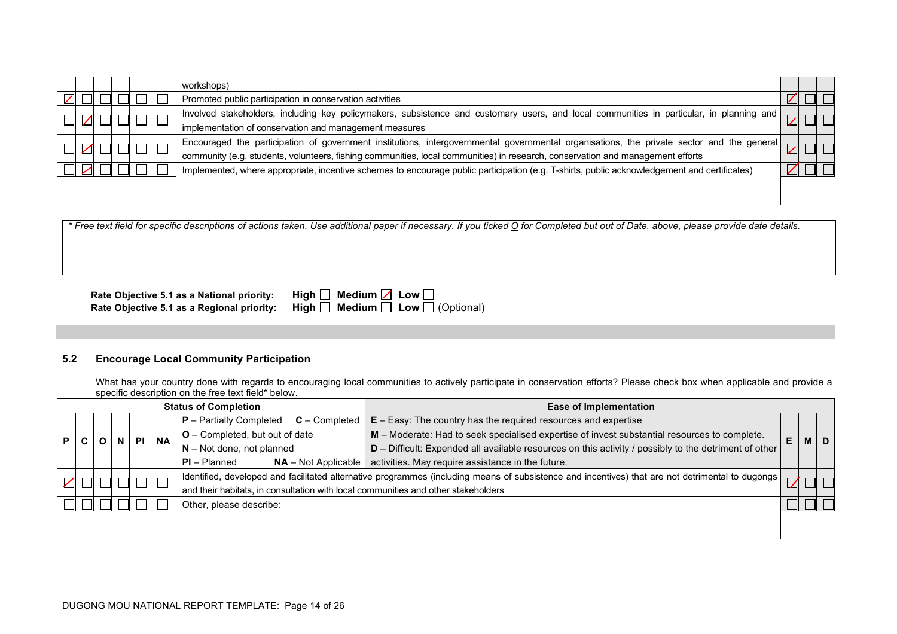|  |  |  | workshops)                                                                                                                                   |  |  |
|--|--|--|----------------------------------------------------------------------------------------------------------------------------------------------|--|--|
|  |  |  | Promoted public participation in conservation activities                                                                                     |  |  |
|  |  |  |                                                                                                                                              |  |  |
|  |  |  | Involved stakeholders, including key policymakers, subsistence and customary users, and local communities in particular, in planning and     |  |  |
|  |  |  | implementation of conservation and management measures                                                                                       |  |  |
|  |  |  | Encouraged the participation of government institutions, intergovernmental governmental organisations, the private sector and the general    |  |  |
|  |  |  | community (e.g. students, volunteers, fishing communities, local communities) in research, conservation and management efforts               |  |  |
|  |  |  | Implemented, where appropriate, incentive schemes to encourage public participation (e.g. T-shirts, public acknowledgement and certificates) |  |  |
|  |  |  |                                                                                                                                              |  |  |
|  |  |  |                                                                                                                                              |  |  |

**Rate Objective 5.1 as a National priority: High □<br>Rate Objective 5.1 as a Regional priority: High □ Rate Objective 5.1 as a Regional priority: High □ Medium □ Low □ (Optional)** 

| Medium $\boxed{\phantom{0}}$ Low $\boxed{\phantom{0}}$ |                              |
|--------------------------------------------------------|------------------------------|
|                                                        | Medium $\Box$ Low $\Box$ (Op |

### **5.2 Encourage Local Community Participation**

What has your country done with regards to encouraging local communities to actively participate in conservation efforts? Please check box when applicable and provide a specific description on the free text field\* below.

|  | <b>Status of Completion</b> |  |  |  |           |                                                                                   | <b>Ease of Implementation</b>                                                                                                                    |                                                                                                         |  |
|--|-----------------------------|--|--|--|-----------|-----------------------------------------------------------------------------------|--------------------------------------------------------------------------------------------------------------------------------------------------|---------------------------------------------------------------------------------------------------------|--|
|  |                             |  |  |  |           | <b>P</b> – Partially Completed<br>$C$ – Completed                                 | $E - Easy$ : The country has the required resources and expertise                                                                                |                                                                                                         |  |
|  |                             |  |  |  | <b>NA</b> | <b>O</b> – Completed, but out of date                                             | M - Moderate: Had to seek specialised expertise of invest substantial resources to complete.                                                     | Е                                                                                                       |  |
|  |                             |  |  |  |           |                                                                                   | $N - Not$ done, not planned                                                                                                                      | $D$ – Difficult: Expended all available resources on this activity / possibly to the detriment of other |  |
|  |                             |  |  |  |           | $PI - Planned$<br>$NA - Not Applicable$                                           | activities. May require assistance in the future.                                                                                                |                                                                                                         |  |
|  |                             |  |  |  |           |                                                                                   | Identified, developed and facilitated alternative programmes (including means of subsistence and incentives) that are not detrimental to dugongs |                                                                                                         |  |
|  |                             |  |  |  |           | and their habitats, in consultation with local communities and other stakeholders |                                                                                                                                                  |                                                                                                         |  |
|  | Other, please describe:     |  |  |  |           |                                                                                   |                                                                                                                                                  |                                                                                                         |  |
|  |                             |  |  |  |           |                                                                                   |                                                                                                                                                  |                                                                                                         |  |
|  |                             |  |  |  |           |                                                                                   |                                                                                                                                                  |                                                                                                         |  |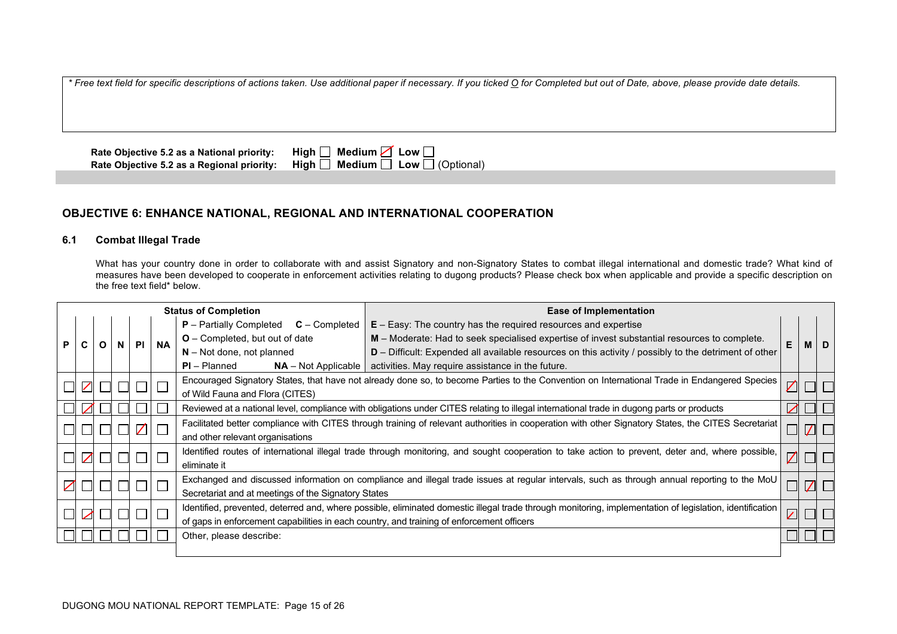**Rate Objective 5.2 as a National priority: High ■ Medium ■ Low ■ Rate Objective 5.2 as a Regional priority: High ■ Medium ■ Low ■**  $\overline{\mathsf{High}}$  **Medium** Low  $\overline{\Box}$  (Optional)

# **OBJECTIVE 6: ENHANCE NATIONAL, REGIONAL AND INTERNATIONAL COOPERATION**

### **6.1 Combat Illegal Trade**

What has your country done in order to collaborate with and assist Signatory and non-Signatory States to combat illegal international and domestic trade? What kind of measures have been developed to cooperate in enforcement activities relating to dugong products? Please check box when applicable and provide a specific description on the free text field\* below.

|  |                                                                                                                                                                    |  |     |           | <b>Status of Completion</b>                                                                                                               | <b>Ease of Implementation</b>                                                                                                                            |                                                                                                         |   |  |
|--|--------------------------------------------------------------------------------------------------------------------------------------------------------------------|--|-----|-----------|-------------------------------------------------------------------------------------------------------------------------------------------|----------------------------------------------------------------------------------------------------------------------------------------------------------|---------------------------------------------------------------------------------------------------------|---|--|
|  |                                                                                                                                                                    |  |     |           | <b>P</b> – Partially Completed<br><b>C</b> – Completed                                                                                    | $E - E$ asy: The country has the required resources and expertise                                                                                        |                                                                                                         |   |  |
|  |                                                                                                                                                                    |  | PI. | <b>NA</b> | <b>O</b> – Completed, but out of date                                                                                                     | M - Moderate: Had to seek specialised expertise of invest substantial resources to complete.                                                             |                                                                                                         | M |  |
|  |                                                                                                                                                                    |  |     |           |                                                                                                                                           | $N - Not$ done, not planned                                                                                                                              | $D$ – Difficult: Expended all available resources on this activity / possibly to the detriment of other |   |  |
|  |                                                                                                                                                                    |  |     |           | $PI - Planned$<br>$NA - Not Applicable$                                                                                                   | activities. May require assistance in the future.                                                                                                        |                                                                                                         |   |  |
|  | Encouraged Signatory States, that have not already done so, to become Parties to the Convention on International Trade in Endangered Species                       |  | Z   |           |                                                                                                                                           |                                                                                                                                                          |                                                                                                         |   |  |
|  |                                                                                                                                                                    |  |     |           | of Wild Fauna and Flora (CITES)                                                                                                           |                                                                                                                                                          |                                                                                                         |   |  |
|  |                                                                                                                                                                    |  |     |           | Reviewed at a national level, compliance with obligations under CITES relating to illegal international trade in dugong parts or products |                                                                                                                                                          | ╱                                                                                                       |   |  |
|  | Facilitated better compliance with CITES through training of relevant authorities in cooperation with other Signatory States, the CITES Secretariat<br>$\mathbb Z$ |  |     |           |                                                                                                                                           |                                                                                                                                                          |                                                                                                         |   |  |
|  |                                                                                                                                                                    |  |     |           | and other relevant organisations                                                                                                          |                                                                                                                                                          |                                                                                                         |   |  |
|  |                                                                                                                                                                    |  |     |           |                                                                                                                                           | Identified routes of international illegal trade through monitoring, and sought cooperation to take action to prevent, deter and, where possible,        | Z                                                                                                       |   |  |
|  |                                                                                                                                                                    |  |     |           | eliminate it                                                                                                                              |                                                                                                                                                          |                                                                                                         |   |  |
|  |                                                                                                                                                                    |  |     |           |                                                                                                                                           | Exchanged and discussed information on compliance and illegal trade issues at regular intervals, such as through annual reporting to the MoU             |                                                                                                         |   |  |
|  |                                                                                                                                                                    |  |     |           | Secretariat and at meetings of the Signatory States                                                                                       |                                                                                                                                                          |                                                                                                         |   |  |
|  |                                                                                                                                                                    |  |     |           |                                                                                                                                           | Identified, prevented, deterred and, where possible, eliminated domestic illegal trade through monitoring, implementation of legislation, identification | $\overline{\mathcal{L}}$                                                                                |   |  |
|  |                                                                                                                                                                    |  |     |           | of gaps in enforcement capabilities in each country, and training of enforcement officers                                                 |                                                                                                                                                          |                                                                                                         |   |  |
|  |                                                                                                                                                                    |  |     |           | Other, please describe:                                                                                                                   |                                                                                                                                                          |                                                                                                         |   |  |
|  |                                                                                                                                                                    |  |     |           |                                                                                                                                           |                                                                                                                                                          |                                                                                                         |   |  |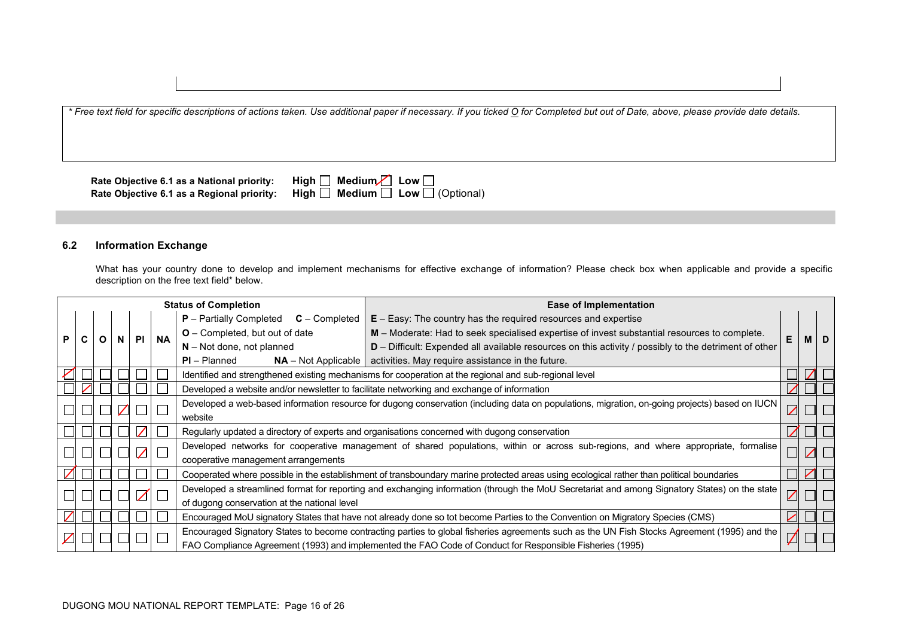| Rate Objective 6.1 as a National priority: | $High \ \Box \ \textit{ Medium} \ \Box \ \textit{Low} \ \Box$ |
|--------------------------------------------|---------------------------------------------------------------|
| Rate Objective 6.1 as a Regional priority: | High $\Box$ Medium $\Box$ Low $\Box$ (Optional)               |

### **6.2 Information Exchange**

What has your country done to develop and implement mechanisms for effective exchange of information? Please check box when applicable and provide a specific description on the free text field\* below.

|    |  |  |   |           |                                                                                                          | <b>Status of Completion</b>                                                                                                                   | <b>Ease of Implementation</b>                                                                                                                  |   |     |   |
|----|--|--|---|-----------|----------------------------------------------------------------------------------------------------------|-----------------------------------------------------------------------------------------------------------------------------------------------|------------------------------------------------------------------------------------------------------------------------------------------------|---|-----|---|
|    |  |  |   |           |                                                                                                          | <b>P</b> – Partially Completed<br>$C$ – Completed                                                                                             | $E - E$ asy: The country has the required resources and expertise                                                                              |   |     |   |
| P. |  |  | N | <b>PI</b> | <b>NA</b>                                                                                                | $O$ – Completed, but out of date                                                                                                              | M - Moderate: Had to seek specialised expertise of invest substantial resources to complete.                                                   |   | M I | D |
|    |  |  |   |           |                                                                                                          | $N$ – Not done, not planned                                                                                                                   | $D$ – Difficult: Expended all available resources on this activity / possibly to the detriment of other                                        |   |     |   |
|    |  |  |   |           | $PI - Planned$                                                                                           | $NA$ – Not Applicable   activities. May require assistance in the future.                                                                     |                                                                                                                                                |   |     |   |
|    |  |  |   |           |                                                                                                          |                                                                                                                                               | Identified and strengthened existing mechanisms for cooperation at the regional and sub-regional level                                         |   |     |   |
|    |  |  |   |           |                                                                                                          |                                                                                                                                               | Developed a website and/or newsletter to facilitate networking and exchange of information                                                     |   |     |   |
|    |  |  |   |           |                                                                                                          |                                                                                                                                               | Developed a web-based information resource for dugong conservation (including data on populations, migration, on-going projects) based on IUCN | Z |     |   |
|    |  |  |   |           |                                                                                                          | website                                                                                                                                       |                                                                                                                                                |   |     |   |
|    |  |  |   |           |                                                                                                          |                                                                                                                                               | Regularly updated a directory of experts and organisations concerned with dugong conservation                                                  |   |     |   |
|    |  |  |   | $\angle$  |                                                                                                          |                                                                                                                                               | Developed networks for cooperative management of shared populations, within or across sub-regions, and where appropriate, formalise            |   |     |   |
|    |  |  |   |           |                                                                                                          | cooperative management arrangements                                                                                                           |                                                                                                                                                |   |     |   |
|    |  |  |   |           |                                                                                                          |                                                                                                                                               | Cooperated where possible in the establishment of transboundary marine protected areas using ecological rather than political boundaries       |   |     |   |
|    |  |  |   | Z         |                                                                                                          | Developed a streamlined format for reporting and exchanging information (through the MoU Secretariat and among Signatory States) on the state |                                                                                                                                                |   |     |   |
|    |  |  |   |           |                                                                                                          | of dugong conservation at the national level                                                                                                  |                                                                                                                                                |   |     |   |
|    |  |  |   |           |                                                                                                          |                                                                                                                                               | Encouraged MoU signatory States that have not already done so tot become Parties to the Convention on Migratory Species (CMS)                  | ╱ |     |   |
|    |  |  |   |           |                                                                                                          | Encouraged Signatory States to become contracting parties to global fisheries agreements such as the UN Fish Stocks Agreement (1995) and the  |                                                                                                                                                |   |     |   |
|    |  |  |   |           | FAO Compliance Agreement (1993) and implemented the FAO Code of Conduct for Responsible Fisheries (1995) | Z                                                                                                                                             |                                                                                                                                                |   |     |   |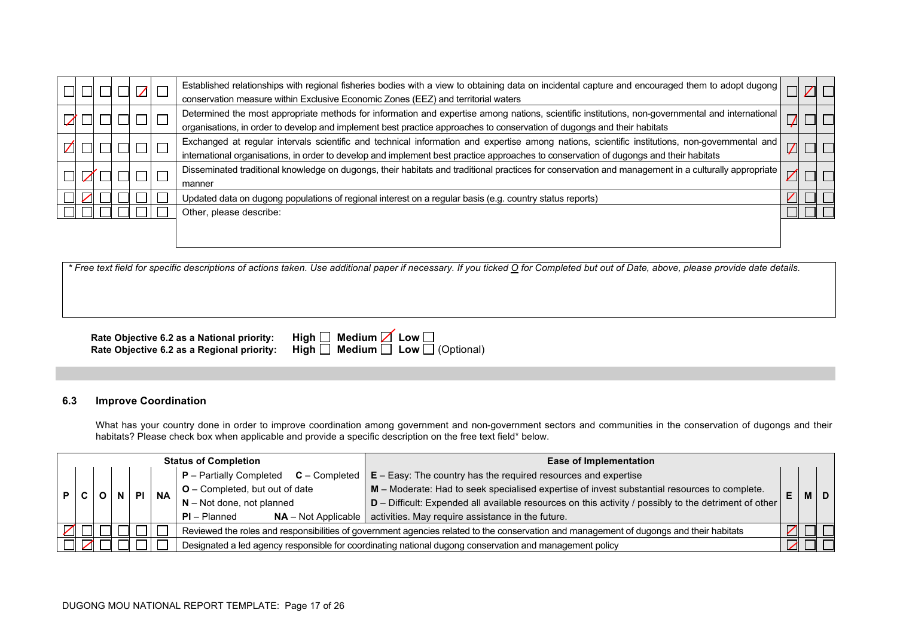|  |  | $Z\mathsf{L}$ | Established relationships with regional fisheries bodies with a view to obtaining data on incidental capture and encouraged them to adopt dugong<br>conservation measure within Exclusive Economic Zones (EEZ) and territorial waters                                                   |  |        |
|--|--|---------------|-----------------------------------------------------------------------------------------------------------------------------------------------------------------------------------------------------------------------------------------------------------------------------------------|--|--------|
|  |  |               | Determined the most appropriate methods for information and expertise among nations, scientific institutions, non-governmental and international<br>organisations, in order to develop and implement best practice approaches to conservation of dugongs and their habitats             |  |        |
|  |  |               | Exchanged at regular intervals scientific and technical information and expertise among nations, scientific institutions, non-governmental and<br>international organisations, in order to develop and implement best practice approaches to conservation of dugongs and their habitats |  | $\Box$ |
|  |  |               | Disseminated traditional knowledge on dugongs, their habitats and traditional practices for conservation and management in a culturally appropriate<br>manner                                                                                                                           |  |        |
|  |  |               | Updated data on dugong populations of regional interest on a regular basis (e.g. country status reports)                                                                                                                                                                                |  |        |
|  |  |               | Other, please describe:                                                                                                                                                                                                                                                                 |  |        |
|  |  |               |                                                                                                                                                                                                                                                                                         |  |        |

**Rate Objective 6.2 as a National priority:** H **Rate Objective 6.2 as a Regional priority: High □ Medium □ Low □ (Optional)** 

| $\mathsf{High} \ \Box \ \ \mathsf{Median} \ \Box \ \mathsf{Low} \ \Box$         |  |
|---------------------------------------------------------------------------------|--|
| $\mathsf{High} \ \Box \ \mathsf{ Medium} \ \Box \ \mathsf{Low} \ \Box$ (Optiona |  |

# **6.3 Improve Coordination**

What has your country done in order to improve coordination among government and non-government sectors and communities in the conservation of dugongs and their habitats? Please check box when applicable and provide a specific description on the free text field\* below.

|  | <b>Status of Completion</b> |  |  |      |           | <b>Ease of Implementation</b>                                                                                                           |                                                                                              |    |  |                             |                                                                                                       |  |  |  |
|--|-----------------------------|--|--|------|-----------|-----------------------------------------------------------------------------------------------------------------------------------------|----------------------------------------------------------------------------------------------|----|--|-----------------------------|-------------------------------------------------------------------------------------------------------|--|--|--|
|  |                             |  |  |      |           | $P -$ Partially Completed $C -$ Completed                                                                                               | $E - Easy$ : The country has the required resources and expertise                            |    |  |                             |                                                                                                       |  |  |  |
|  |                             |  |  | N PI | <b>NA</b> | O - Completed, but out of date                                                                                                          | M - Moderate: Had to seek specialised expertise of invest substantial resources to complete. | E. |  | <b>MD</b>                   |                                                                                                       |  |  |  |
|  |                             |  |  |      |           |                                                                                                                                         |                                                                                              |    |  | $N - Not$ done, not planned | D - Difficult: Expended all available resources on this activity / possibly to the detriment of other |  |  |  |
|  |                             |  |  |      |           | $PI - Planned$                                                                                                                          | $NA$ – Not Applicable   activities. May require assistance in the future.                    |    |  |                             |                                                                                                       |  |  |  |
|  |                             |  |  |      |           | Reviewed the roles and responsibilities of government agencies related to the conservation and management of dugongs and their habitats |                                                                                              |    |  |                             |                                                                                                       |  |  |  |
|  |                             |  |  |      |           | Designated a led agency responsible for coordinating national dugong conservation and management policy                                 |                                                                                              |    |  |                             |                                                                                                       |  |  |  |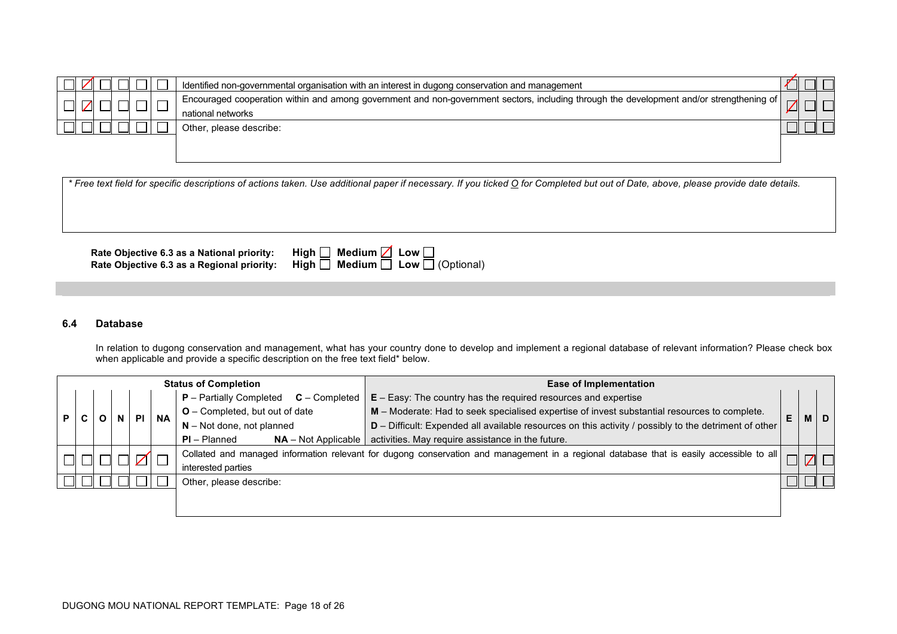|  |  |  | Identified non-governmental organisation with an interest in dugong conservation and management                                                                 |  |  |
|--|--|--|-----------------------------------------------------------------------------------------------------------------------------------------------------------------|--|--|
|  |  |  | Encouraged cooperation within and among government and non-government sectors, including through the development and/or strengthening of  <br>national networks |  |  |
|  |  |  | Other, please describe:                                                                                                                                         |  |  |

**Rate Objective 6.3 as a National priority:** Hi<br>Rate Objective 6.3 as a Regional priority: Hi **Rate Objective 6.3 as a Regional priority: High □ Medium □ Low □ (Optional)** 

| igh $\Box$ Medium $\Box$ Low $\Box$ |                                            |
|-------------------------------------|--------------------------------------------|
|                                     | igh $\Box$ Medium $\Box$ Low $\Box$ (Optic |

### **6.4 Database**

In relation to dugong conservation and management, what has your country done to develop and implement a regional database of relevant information? Please check box when applicable and provide a specific description on the free text field\* below.

|    | <b>Status of Completion</b> |  |  |           |           |                                                   | <b>Ease of Implementation</b>                                                                                                            |   |     |   |  |
|----|-----------------------------|--|--|-----------|-----------|---------------------------------------------------|------------------------------------------------------------------------------------------------------------------------------------------|---|-----|---|--|
|    |                             |  |  |           |           | <b>P</b> – Partially Completed<br>$C$ – Completed | $E - E$ asy: The country has the required resources and expertise                                                                        |   |     |   |  |
| P. |                             |  |  | <b>PI</b> | <b>NA</b> | $O$ – Completed, but out of date                  | M – Moderate: Had to seek specialised expertise of invest substantial resources to complete.                                             | Е | M I | D |  |
|    |                             |  |  |           |           | $N - Not$ done, not planned                       | D - Difficult: Expended all available resources on this activity / possibly to the detriment of other                                    |   |     |   |  |
|    |                             |  |  |           |           | $PI - Planned$<br>$NA - Not Applicable$           | activities. May require assistance in the future.                                                                                        |   |     |   |  |
|    |                             |  |  | $\sqrt{}$ |           |                                                   | Collated and managed information relevant for dugong conservation and management in a regional database that is easily accessible to all |   |     |   |  |
|    |                             |  |  |           |           | interested parties                                |                                                                                                                                          |   |     |   |  |
|    | Other, please describe:     |  |  |           |           |                                                   |                                                                                                                                          |   |     |   |  |
|    |                             |  |  |           |           |                                                   |                                                                                                                                          |   |     |   |  |
|    |                             |  |  |           |           |                                                   |                                                                                                                                          |   |     |   |  |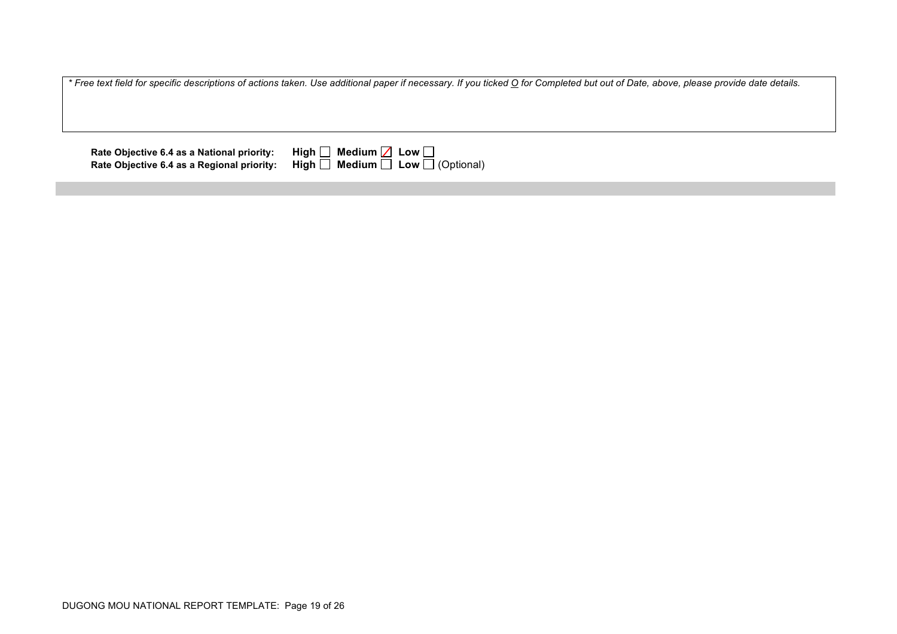**Rate Objective 6.4 as a National priority:**<br>Rate Objective 6.4 as a Regional priority:

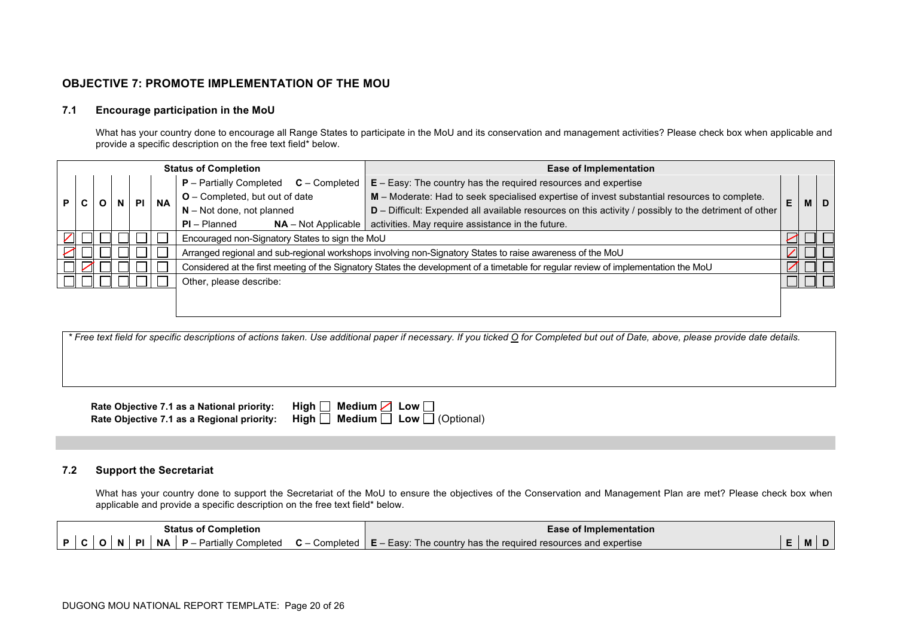# **OBJECTIVE 7: PROMOTE IMPLEMENTATION OF THE MOU**

### **7.1 Encourage participation in the MoU**

What has your country done to encourage all Range States to participate in the MoU and its conservation and management activities? Please check box when applicable and provide a specific description on the free text field\* below.

|                |  |  |                                                                           |           |           | <b>Status of Completion</b>                       | <b>Ease of Implementation</b>                                                                                                       |  |  |            |
|----------------|--|--|---------------------------------------------------------------------------|-----------|-----------|---------------------------------------------------|-------------------------------------------------------------------------------------------------------------------------------------|--|--|------------|
|                |  |  |                                                                           |           |           | $C$ – Completed<br><b>P</b> – Partially Completed | $E - Easy$ : The country has the required resources and expertise                                                                   |  |  |            |
| P              |  |  | N                                                                         | <b>PI</b> | <b>NA</b> | O - Completed, but out of date                    | M - Moderate: Had to seek specialised expertise of invest substantial resources to complete.                                        |  |  | <b>MID</b> |
|                |  |  |                                                                           |           |           | $N - Not$ done, not planned                       | D - Difficult: Expended all available resources on this activity / possibly to the detriment of other                               |  |  |            |
| $PI - Planned$ |  |  | $NA$ – Not Applicable   activities. May require assistance in the future. |           |           |                                                   |                                                                                                                                     |  |  |            |
|                |  |  |                                                                           |           |           |                                                   | Encouraged non-Signatory States to sign the MoU                                                                                     |  |  |            |
|                |  |  |                                                                           |           |           |                                                   | Arranged regional and sub-regional workshops involving non-Signatory States to raise awareness of the MoU                           |  |  |            |
|                |  |  |                                                                           |           |           |                                                   | Considered at the first meeting of the Signatory States the development of a timetable for regular review of implementation the MoU |  |  |            |
|                |  |  |                                                                           |           |           | Other, please describe:                           |                                                                                                                                     |  |  |            |
|                |  |  |                                                                           |           |           |                                                   |                                                                                                                                     |  |  |            |
|                |  |  |                                                                           |           |           |                                                   |                                                                                                                                     |  |  |            |

*\* Free text field for specific descriptions of actions taken. Use additional paper if necessary. If you ticked O for Completed but out of Date, above, please provide date details.*

| Rate Objective 7.1 as a National priority: | High $\Box$ Medium $\Box$ Low $\Box$                                                         |
|--------------------------------------------|----------------------------------------------------------------------------------------------|
|                                            | Rate Objective 7.1 as a Regional priority:   High $\Box$ Medium $\Box$ Low $\Box$ (Optional) |

### **7.2 Support the Secretariat**

What has your country done to support the Secretariat of the MoU to ensure the objectives of the Conservation and Management Plan are met? Please check box when applicable and provide a specific description on the free text field\* below.

| Status of<br>' Completion                                                         | f Implementation<br>- OT                                                      |  |   |  |  |
|-----------------------------------------------------------------------------------|-------------------------------------------------------------------------------|--|---|--|--|
| NΑ<br>$\sim$<br>Completed<br>P<br>Partially<br>Completed<br><u>u – </u><br>יייט - | and expertise a<br>s the required resources a<br>Easy:<br>The country has the |  | M |  |  |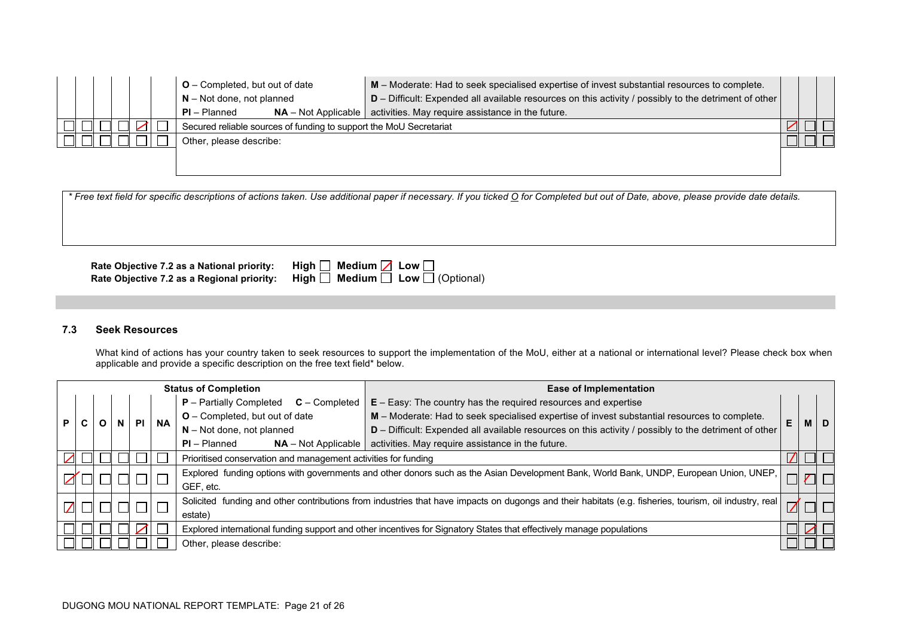|  |  |  | $O$ – Completed, but out of date                                   | M - Moderate: Had to seek specialised expertise of invest substantial resources to complete.            |  |  |
|--|--|--|--------------------------------------------------------------------|---------------------------------------------------------------------------------------------------------|--|--|
|  |  |  | $N - Not$ done, not planned                                        | $D$ – Difficult: Expended all available resources on this activity / possibly to the detriment of other |  |  |
|  |  |  | <b>PI</b> – Planned                                                | $NA$ – Not Applicable   activities. May require assistance in the future.                               |  |  |
|  |  |  | Secured reliable sources of funding to support the MoU Secretariat |                                                                                                         |  |  |
|  |  |  | Other, please describe:                                            |                                                                                                         |  |  |
|  |  |  |                                                                    |                                                                                                         |  |  |
|  |  |  |                                                                    |                                                                                                         |  |  |

**Righ O** Medium **Z** Low **D** (Optional)<br> **Righ D** Medium **D** Low **D** (Optional)

**Rate Objective 7.2 as a National priority:**<br>Rate Objective 7.2 as a Regional priority:

| 7.3 | <b>Seek Resources</b> |
|-----|-----------------------|
|     |                       |

What kind of actions has your country taken to seek resources to support the implementation of the MoU, either at a national or international level? Please check box when applicable and provide a specific description on the free text field\* below.

|         | <b>Status of Completion</b> |  |                  |  |                        |                                                                                                                      | <b>Ease of Implementation</b>                                                                                                                          |   |  |            |
|---------|-----------------------------|--|------------------|--|------------------------|----------------------------------------------------------------------------------------------------------------------|--------------------------------------------------------------------------------------------------------------------------------------------------------|---|--|------------|
|         |                             |  |                  |  |                        | <b>P</b> – Partially Completed<br>$C$ – Completed                                                                    | $E - Easy$ : The country has the required resources and expertise                                                                                      |   |  |            |
|         |                             |  | N.               |  | <b>NA</b><br><b>PI</b> | <b>O</b> – Completed, but out of date                                                                                | M - Moderate: Had to seek specialised expertise of invest substantial resources to complete.                                                           | E |  | <b>MID</b> |
|         |                             |  |                  |  |                        | $N - Not$ done, not planned                                                                                          | D - Difficult: Expended all available resources on this activity / possibly to the detriment of other                                                  |   |  |            |
|         |                             |  |                  |  |                        | $PI - Planned$<br>$NA - Not Applicable$                                                                              | activities. May require assistance in the future.                                                                                                      |   |  |            |
|         |                             |  |                  |  |                        | Prioritised conservation and management activities for funding                                                       |                                                                                                                                                        |   |  |            |
|         |                             |  |                  |  |                        |                                                                                                                      | Explored funding options with governments and other donors such as the Asian Development Bank, World Bank, UNDP, European Union, UNEP,                 |   |  |            |
|         |                             |  |                  |  |                        | GEF, etc.                                                                                                            |                                                                                                                                                        |   |  |            |
|         |                             |  |                  |  |                        |                                                                                                                      | Solicited funding and other contributions from industries that have impacts on dugongs and their habitats (e.g. fisheries, tourism, oil industry, real |   |  |            |
| estate) |                             |  | $\boldsymbol{U}$ |  |                        |                                                                                                                      |                                                                                                                                                        |   |  |            |
|         |                             |  |                  |  |                        | Explored international funding support and other incentives for Signatory States that effectively manage populations |                                                                                                                                                        |   |  |            |
|         |                             |  |                  |  |                        | Other, please describe:                                                                                              |                                                                                                                                                        |   |  |            |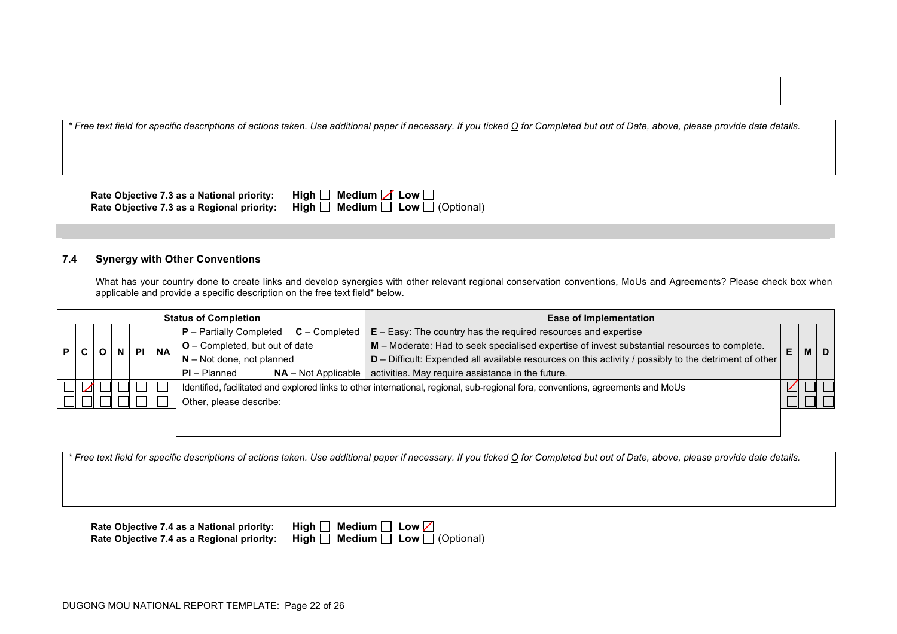**Rate Objective 7.3 as a National priority: H Rate Objective 7.3 as a Regional priority:** High  $\Box$  Medium  $\Box$  Low  $\Box$  (Optional)

| ligh $\square$ Medium $\square$ Low $\square$         |  |
|-------------------------------------------------------|--|
| ligh $\square$ Medium $\square$ Low $\square$ (Option |  |

### **7.4 Synergy with Other Conventions**

What has your country done to create links and develop synergies with other relevant regional conservation conventions, MoUs and Agreements? Please check box when applicable and provide a specific description on the free text field\* below.

|  | <b>Status of Completion</b> |  |  |  |           | <b>Ease of Implementation</b>                     |                                                                                                                                  |    |  |       |
|--|-----------------------------|--|--|--|-----------|---------------------------------------------------|----------------------------------------------------------------------------------------------------------------------------------|----|--|-------|
|  |                             |  |  |  |           | <b>P</b> – Partially Completed<br>$C$ – Completed | $E - Easy$ : The country has the required resources and expertise                                                                |    |  |       |
|  |                             |  |  |  | <b>NA</b> | $O$ – Completed, but out of date                  | M - Moderate: Had to seek specialised expertise of invest substantial resources to complete.                                     | E. |  | M   D |
|  |                             |  |  |  |           | $N - Not$ done, not planned                       | D - Difficult: Expended all available resources on this activity / possibly to the detriment of other                            |    |  |       |
|  |                             |  |  |  |           | $PI - Planned$<br>$NA - Not Applicable$           | activities. May require assistance in the future.                                                                                |    |  |       |
|  |                             |  |  |  |           |                                                   | Identified, facilitated and explored links to other international, regional, sub-regional fora, conventions, agreements and MoUs |    |  |       |
|  | Other, please describe:     |  |  |  |           |                                                   |                                                                                                                                  |    |  |       |
|  |                             |  |  |  |           |                                                   |                                                                                                                                  |    |  |       |
|  |                             |  |  |  |           |                                                   |                                                                                                                                  |    |  |       |

*\* Free text field for specific descriptions of actions taken. Use additional paper if necessary. If you ticked O for Completed but out of Date, above, please provide date details.*

**Rate Objective 7.4 as a National priority:** High **Rate Objective 7.4 as a Regional priority: High ■ Medium ■ Low ■ (Optional)** 

| gh $\Box$ Medium $\Box$ Low $\Box$ |                                         |
|------------------------------------|-----------------------------------------|
|                                    | ah $\Box$ Medium $\Box$ Low $\Box$ (Opt |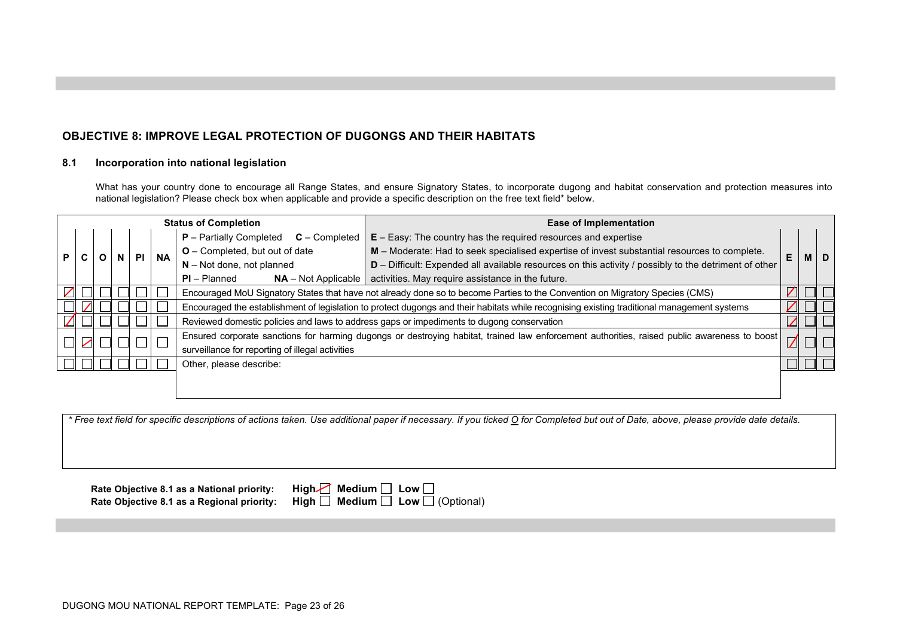# **OBJECTIVE 8: IMPROVE LEGAL PROTECTION OF DUGONGS AND THEIR HABITATS**

### **8.1 Incorporation into national legislation**

What has your country done to encourage all Range States, and ensure Signatory States, to incorporate dugong and habitat conservation and protection measures into national legislation? Please check box when applicable and provide a specific description on the free text field\* below.

|    | <b>Status of Completion</b> |  |   |  |           |                                                                                                                                                                                                  | <b>Ease of Implementation</b>                                                                                                |                                                                                              |                                                                                                       |  |   |                                                   |                                                                   |  |  |  |
|----|-----------------------------|--|---|--|-----------|--------------------------------------------------------------------------------------------------------------------------------------------------------------------------------------------------|------------------------------------------------------------------------------------------------------------------------------|----------------------------------------------------------------------------------------------|-------------------------------------------------------------------------------------------------------|--|---|---------------------------------------------------|-------------------------------------------------------------------|--|--|--|
|    |                             |  |   |  |           |                                                                                                                                                                                                  |                                                                                                                              |                                                                                              |                                                                                                       |  |   | <b>P</b> – Partially Completed<br>$C$ – Completed | $E - Easy$ : The country has the required resources and expertise |  |  |  |
| P. |                             |  | N |  | <b>PI</b> | <b>NA</b>                                                                                                                                                                                        | <b>O</b> – Completed, but out of date                                                                                        | M - Moderate: Had to seek specialised expertise of invest substantial resources to complete. | E                                                                                                     |  | D |                                                   |                                                                   |  |  |  |
|    |                             |  |   |  |           |                                                                                                                                                                                                  |                                                                                                                              | $N - Not$ done, not planned                                                                  | D – Difficult: Expended all available resources on this activity / possibly to the detriment of other |  |   |                                                   |                                                                   |  |  |  |
|    |                             |  |   |  |           | $PI - Planned$<br>$NA - Not Applicable$                                                                                                                                                          | activities. May require assistance in the future.                                                                            |                                                                                              |                                                                                                       |  |   |                                                   |                                                                   |  |  |  |
|    |                             |  |   |  |           |                                                                                                                                                                                                  | Encouraged MoU Signatory States that have not already done so to become Parties to the Convention on Migratory Species (CMS) |                                                                                              |                                                                                                       |  |   |                                                   |                                                                   |  |  |  |
|    |                             |  |   |  |           | Encouraged the establishment of legislation to protect dugongs and their habitats while recognising existing traditional management systems                                                      |                                                                                                                              |                                                                                              |                                                                                                       |  |   |                                                   |                                                                   |  |  |  |
|    |                             |  |   |  |           |                                                                                                                                                                                                  | Reviewed domestic policies and laws to address gaps or impediments to dugong conservation                                    |                                                                                              |                                                                                                       |  |   |                                                   |                                                                   |  |  |  |
|    |                             |  |   |  |           | Ensured corporate sanctions for harming dugongs or destroying habitat, trained law enforcement authorities, raised public awareness to boost<br>surveillance for reporting of illegal activities |                                                                                                                              |                                                                                              |                                                                                                       |  |   |                                                   |                                                                   |  |  |  |
|    |                             |  |   |  |           | Other, please describe:                                                                                                                                                                          |                                                                                                                              |                                                                                              |                                                                                                       |  |   |                                                   |                                                                   |  |  |  |
|    |                             |  |   |  |           |                                                                                                                                                                                                  |                                                                                                                              |                                                                                              |                                                                                                       |  |   |                                                   |                                                                   |  |  |  |

*\* Free text field for specific descriptions of actions taken. Use additional paper if necessary. If you ticked O for Completed but out of Date, above, please provide date details.*

**Rate Objective 8.1 as a National priority:** High **Rate Objective 8.1 as a Regional priority:** High  $\Box$  Medium  $\Box$  Low  $\Box$  (Optional)

| gh $\Box$ Medium $\Box$ Low $\Box$     |  |
|----------------------------------------|--|
| gh $\Box$ Medium $\Box$ Low $\Box$ (Op |  |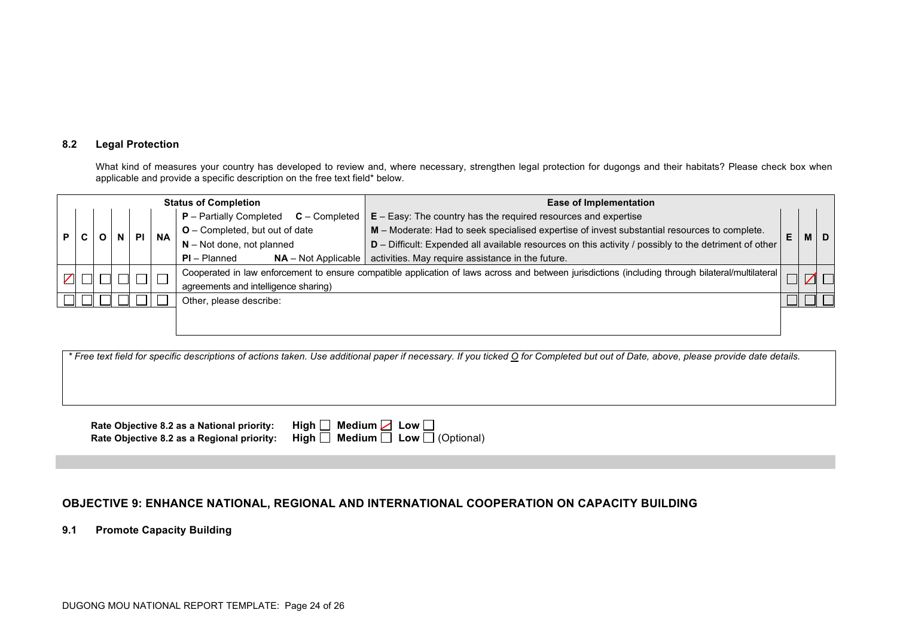### **8.2 Legal Protection**

What kind of measures your country has developed to review and, where necessary, strengthen legal protection for dugongs and their habitats? Please check box when applicable and provide a specific description on the free text field\* below.

| <b>Status of Completion</b> |  |  |  |  |           |                                         | <b>Ease of Implementation</b>                                                                                                                     |                                                                   |  |           |  |
|-----------------------------|--|--|--|--|-----------|-----------------------------------------|---------------------------------------------------------------------------------------------------------------------------------------------------|-------------------------------------------------------------------|--|-----------|--|
|                             |  |  |  |  |           |                                         | <b>P</b> – Partially Completed<br>$C$ – Completed                                                                                                 | $E - Easy$ : The country has the required resources and expertise |  |           |  |
|                             |  |  |  |  | <b>NA</b> | $O$ – Completed, but out of date        | M - Moderate: Had to seek specialised expertise of invest substantial resources to complete.                                                      | E                                                                 |  | <b>MD</b> |  |
|                             |  |  |  |  |           | $N - Not$ done, not planned             | D - Difficult: Expended all available resources on this activity / possibly to the detriment of other                                             |                                                                   |  |           |  |
|                             |  |  |  |  |           | $PI - Planned$<br>$NA - Not Applicable$ | activities. May require assistance in the future.                                                                                                 |                                                                   |  |           |  |
|                             |  |  |  |  |           |                                         | Cooperated in law enforcement to ensure compatible application of laws across and between jurisdictions (including through bilateral/multilateral |                                                                   |  |           |  |
|                             |  |  |  |  |           | agreements and intelligence sharing)    |                                                                                                                                                   |                                                                   |  |           |  |
|                             |  |  |  |  |           | Other, please describe:                 |                                                                                                                                                   |                                                                   |  |           |  |
|                             |  |  |  |  |           |                                         |                                                                                                                                                   |                                                                   |  |           |  |

*\* Free text field for specific descriptions of actions taken. Use additional paper if necessary. If you ticked O for Completed but out of Date, above, please provide date details.*

| Rate Objective 8.2 as a National priority: High $\Box$ Medium $\Box$ Low $\Box$ |                                                                                            |
|---------------------------------------------------------------------------------|--------------------------------------------------------------------------------------------|
|                                                                                 | Rate Objective 8.2 as a Regional priority: High $\Box$ Medium $\Box$ Low $\Box$ (Optional) |

# **OBJECTIVE 9: ENHANCE NATIONAL, REGIONAL AND INTERNATIONAL COOPERATION ON CAPACITY BUILDING**

**9.1 Promote Capacity Building**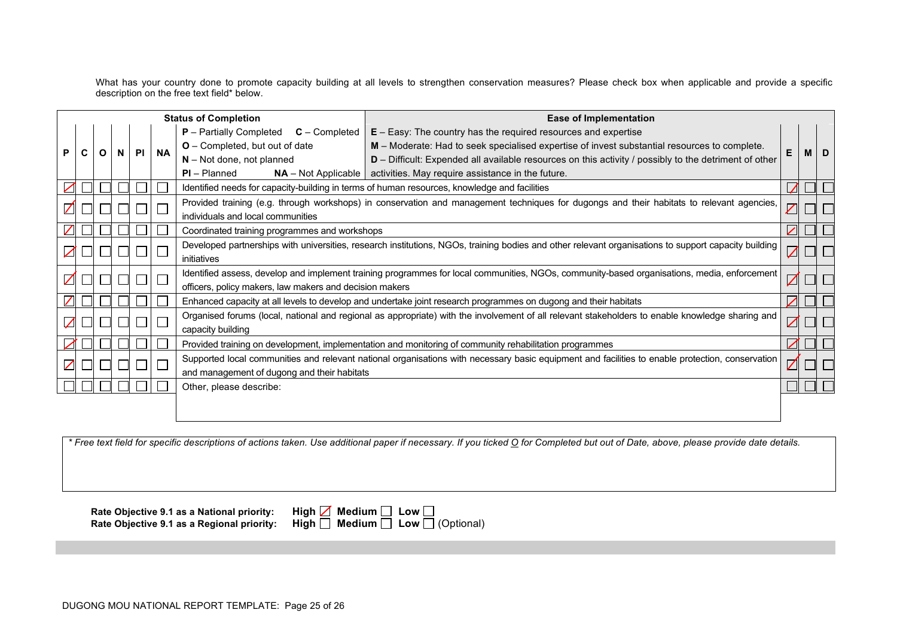What has your country done to promote capacity building at all levels to strengthen conservation measures? Please check box when applicable and provide a specific description on the free text field\* below.

|    | <b>Status of Completion</b> |   |    |           |           |                                                                                                                                                                     | <b>Ease of Implementation</b>                                                                                                                    |  |   |   |
|----|-----------------------------|---|----|-----------|-----------|---------------------------------------------------------------------------------------------------------------------------------------------------------------------|--------------------------------------------------------------------------------------------------------------------------------------------------|--|---|---|
|    |                             |   |    |           |           | <b>P</b> – Partially Completed<br>$C$ – Completed                                                                                                                   | $E - Easy$ : The country has the required resources and expertise                                                                                |  |   |   |
| P. |                             | O | N. | <b>PI</b> | <b>NA</b> | O - Completed, but out of date                                                                                                                                      | M - Moderate: Had to seek specialised expertise of invest substantial resources to complete.                                                     |  | M | D |
|    |                             |   |    |           |           | $N - Not$ done, not planned                                                                                                                                         | D - Difficult: Expended all available resources on this activity / possibly to the detriment of other                                            |  |   |   |
|    |                             |   |    |           |           | $PI - Planned$                                                                                                                                                      | $NA$ – Not Applicable   activities. May require assistance in the future.                                                                        |  |   |   |
|    |                             |   |    |           |           |                                                                                                                                                                     | Identified needs for capacity-building in terms of human resources, knowledge and facilities                                                     |  |   |   |
|    |                             |   |    |           |           |                                                                                                                                                                     | Provided training (e.g. through workshops) in conservation and management techniques for dugongs and their habitats to relevant agencies,        |  |   |   |
|    |                             |   |    |           |           | individuals and local communities                                                                                                                                   |                                                                                                                                                  |  |   |   |
|    |                             |   |    |           |           | Coordinated training programmes and workshops                                                                                                                       |                                                                                                                                                  |  |   |   |
|    |                             |   |    |           |           | Developed partnerships with universities, research institutions, NGOs, training bodies and other relevant organisations to support capacity building<br>initiatives |                                                                                                                                                  |  |   |   |
|    |                             |   |    |           |           |                                                                                                                                                                     | Identified assess, develop and implement training programmes for local communities, NGOs, community-based organisations, media, enforcement      |  |   |   |
|    |                             |   |    |           |           | officers, policy makers, law makers and decision makers                                                                                                             |                                                                                                                                                  |  |   |   |
|    |                             |   |    |           |           |                                                                                                                                                                     | Enhanced capacity at all levels to develop and undertake joint research programmes on dugong and their habitats                                  |  |   |   |
|    |                             |   |    |           |           |                                                                                                                                                                     | Organised forums (local, national and regional as appropriate) with the involvement of all relevant stakeholders to enable knowledge sharing and |  |   |   |
|    |                             |   |    |           |           | capacity building                                                                                                                                                   |                                                                                                                                                  |  |   |   |
|    |                             |   |    |           |           |                                                                                                                                                                     | Provided training on development, implementation and monitoring of community rehabilitation programmes                                           |  |   |   |
|    |                             |   |    |           |           | Supported local communities and relevant national organisations with necessary basic equipment and facilities to enable protection, conservation                    |                                                                                                                                                  |  |   |   |
|    |                             |   |    |           |           | and management of dugong and their habitats                                                                                                                         |                                                                                                                                                  |  |   |   |
|    |                             |   |    |           |           | Other, please describe:                                                                                                                                             |                                                                                                                                                  |  |   |   |
|    |                             |   |    |           |           |                                                                                                                                                                     |                                                                                                                                                  |  |   |   |
|    |                             |   |    |           |           |                                                                                                                                                                     |                                                                                                                                                  |  |   |   |

*\* Free text field for specific descriptions of actions taken. Use additional paper if necessary. If you ticked O for Completed but out of Date, above, please provide date details.*

**Rate Objective 9.1 as a National priority: High <b>M**<br>Rate Objective 9.1 as a Regional priority: High **□ Rate Objective 9.1 as a Regional priority: High □ Medium □ Low □ (Optional)** 

|  | Medium $\Box$ Low $\Box$    |
|--|-----------------------------|
|  | Medium $\Box$ Low $\Box$ (( |